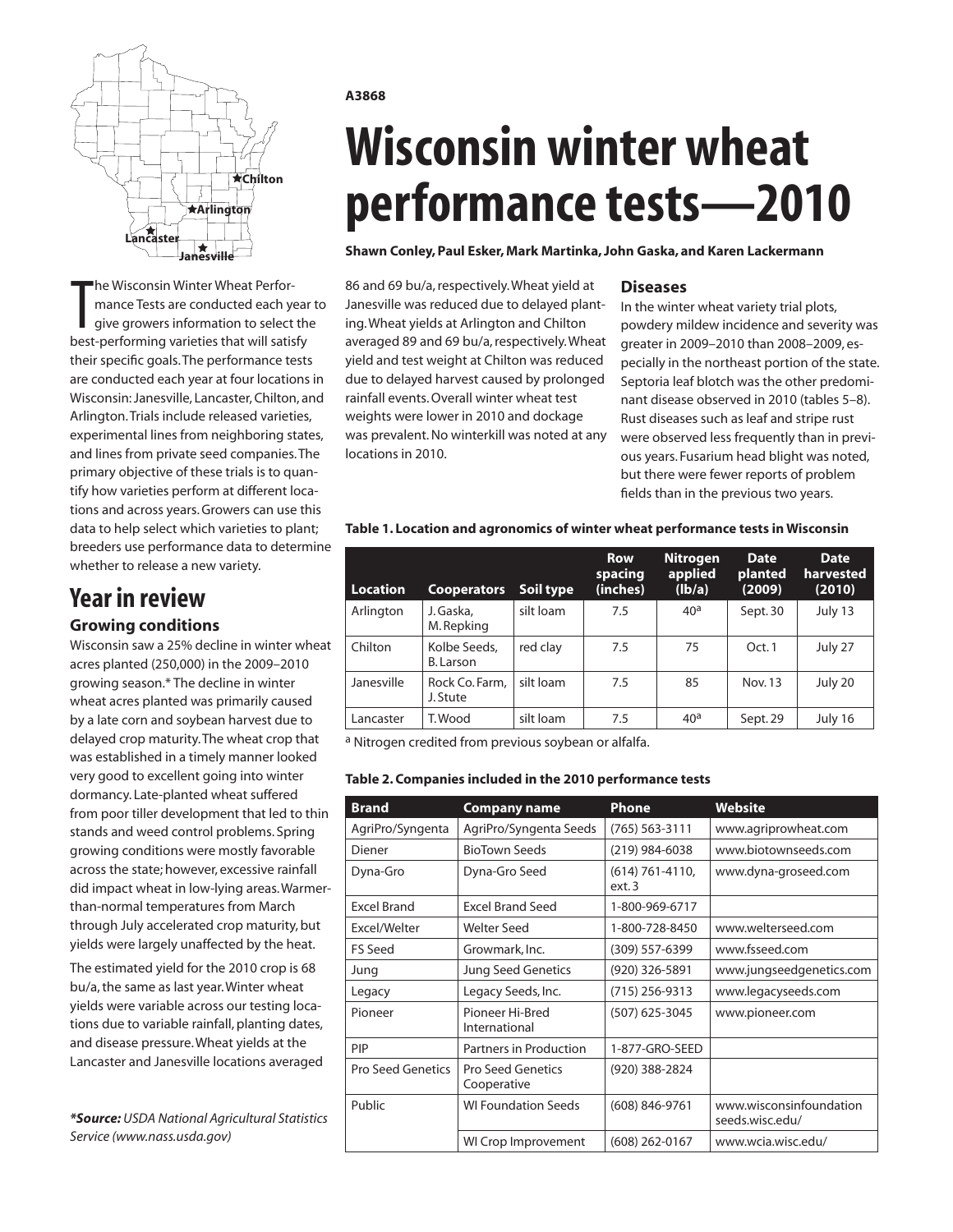

The Wisconsin Winter Wheat Perfor-<br>
mance Tests are conducted each year<br>
give growers information to select the<br>
best-performing varieties that will satisfy he Wisconsin Winter Wheat Performance Tests are conducted each year to give growers information to select the their specific goals. The performance tests are conducted each year at four locations in Wisconsin: Janesville, Lancaster, Chilton, and Arlington. Trials include released varieties, experimental lines from neighboring states, and lines from private seed companies. The primary objective of these trials is to quantify how varieties perform at different locations and across years. Growers can use this data to help select which varieties to plant; breeders use performance data to determine whether to release a new variety.

## **Year in review**

#### **Growing conditions**

Wisconsin saw a 25% decline in winter wheat acres planted (250,000) in the 2009–2010 growing season.\* The decline in winter wheat acres planted was primarily caused by a late corn and soybean harvest due to delayed crop maturity. The wheat crop that was established in a timely manner looked very good to excellent going into winter dormancy. Late-planted wheat suffered from poor tiller development that led to thin stands and weed control problems. Spring growing conditions were mostly favorable across the state; however, excessive rainfall did impact wheat in low-lying areas. Warmerthan-normal temperatures from March through July accelerated crop maturity, but yields were largely unaffected by the heat.

The estimated yield for the 2010 crop is 68 bu/a, the same as last year. Winter wheat yields were variable across our testing locations due to variable rainfall, planting dates, and disease pressure. Wheat yields at the Lancaster and Janesville locations averaged

*\*Source: USDA National Agricultural Statistics Service (www.nass.usda.gov)*

#### **A3868**

# **Wisconsin winter wheat performance tests—2010**

#### **Shawn Conley, Paul Esker, Mark Martinka, John Gaska, and Karen Lackermann**

86 and 69 bu/a, respectively. Wheat yield at Janesville was reduced due to delayed planting. Wheat yields at Arlington and Chilton averaged 89 and 69 bu/a, respectively. Wheat yield and test weight at Chilton was reduced due to delayed harvest caused by prolonged rainfall events. Overall winter wheat test weights were lower in 2010 and dockage was prevalent. No winterkill was noted at any locations in 2010.

#### **Diseases**

In the winter wheat variety trial plots, powdery mildew incidence and severity was greater in 2009–2010 than 2008–2009, especially in the northeast portion of the state. Septoria leaf blotch was the other predominant disease observed in 2010 (tables 5–8). Rust diseases such as leaf and stripe rust were observed less frequently than in previous years. Fusarium head blight was noted, but there were fewer reports of problem fields than in the previous two years.

#### **Table 1. Location and agronomics of winter wheat performance tests in Wisconsin**

| <b>Location</b> | <b>Cooperators</b>         | Soil type | <b>Row</b><br>spacing<br>(inches) | <b>Nitrogen</b><br>applied<br>(lb/a) | <b>Date</b><br>planted<br>(2009) | <b>Date</b><br>harvested<br>(2010) |
|-----------------|----------------------------|-----------|-----------------------------------|--------------------------------------|----------------------------------|------------------------------------|
| Arlington       | J. Gaska,<br>M. Repking    | silt loam | 7.5                               | 40 <sup>a</sup>                      | Sept. 30                         | July 13                            |
| Chilton         | Kolbe Seeds,<br>B. Larson  | red clay  | 7.5                               | 75                                   | Oct.1                            | July 27                            |
| Janesville      | Rock Co. Farm,<br>J. Stute | silt loam | 7.5                               | 85                                   | Nov. 13                          | July 20                            |
| Lancaster       | T. Wood                    | silt loam | 7.5                               | 40 <sup>a</sup>                      | Sept. 29                         | July 16                            |

a Nitrogen credited from previous soybean or alfalfa.

#### **Table 2. Companies included in the 2010 performance tests**

| <b>Brand</b>             | <b>Company name</b>                     | <b>Phone</b>                 | <b>Website</b>                             |
|--------------------------|-----------------------------------------|------------------------------|--------------------------------------------|
| AgriPro/Syngenta         | AgriPro/Syngenta Seeds                  | (765) 563-3111               | www.agriprowheat.com                       |
| Diener                   | <b>BioTown Seeds</b>                    | (219) 984-6038               | www.biotownseeds.com                       |
| Dyna-Gro                 | Dyna-Gro Seed                           | $(614) 761 - 4110,$<br>ext.3 | www.dyna-groseed.com                       |
| <b>Excel Brand</b>       | <b>Excel Brand Seed</b>                 | 1-800-969-6717               |                                            |
| Excel/Welter             | <b>Welter Seed</b>                      | 1-800-728-8450               | www.welterseed.com                         |
| <b>FS Seed</b>           | Growmark, Inc.                          | (309) 557-6399               | www.fsseed.com                             |
| Jung                     | <b>Jung Seed Genetics</b>               | (920) 326-5891               | www.jungseedgenetics.com                   |
| Legacy                   | Legacy Seeds, Inc.                      | $(715)$ 256-9313             | www.legacyseeds.com                        |
| Pioneer                  | Pioneer Hi-Bred<br>International        | (507) 625-3045               | www.pioneer.com                            |
| PIP                      | Partners in Production                  | 1-877-GRO-SEED               |                                            |
| <b>Pro Seed Genetics</b> | <b>Pro Seed Genetics</b><br>Cooperative | (920) 388-2824               |                                            |
| Public                   | <b>WI Foundation Seeds</b>              | $(608) 846 - 9761$           | www.wisconsinfoundation<br>seeds.wisc.edu/ |
|                          | WI Crop Improvement                     | (608) 262-0167               | www.wcia.wisc.edu/                         |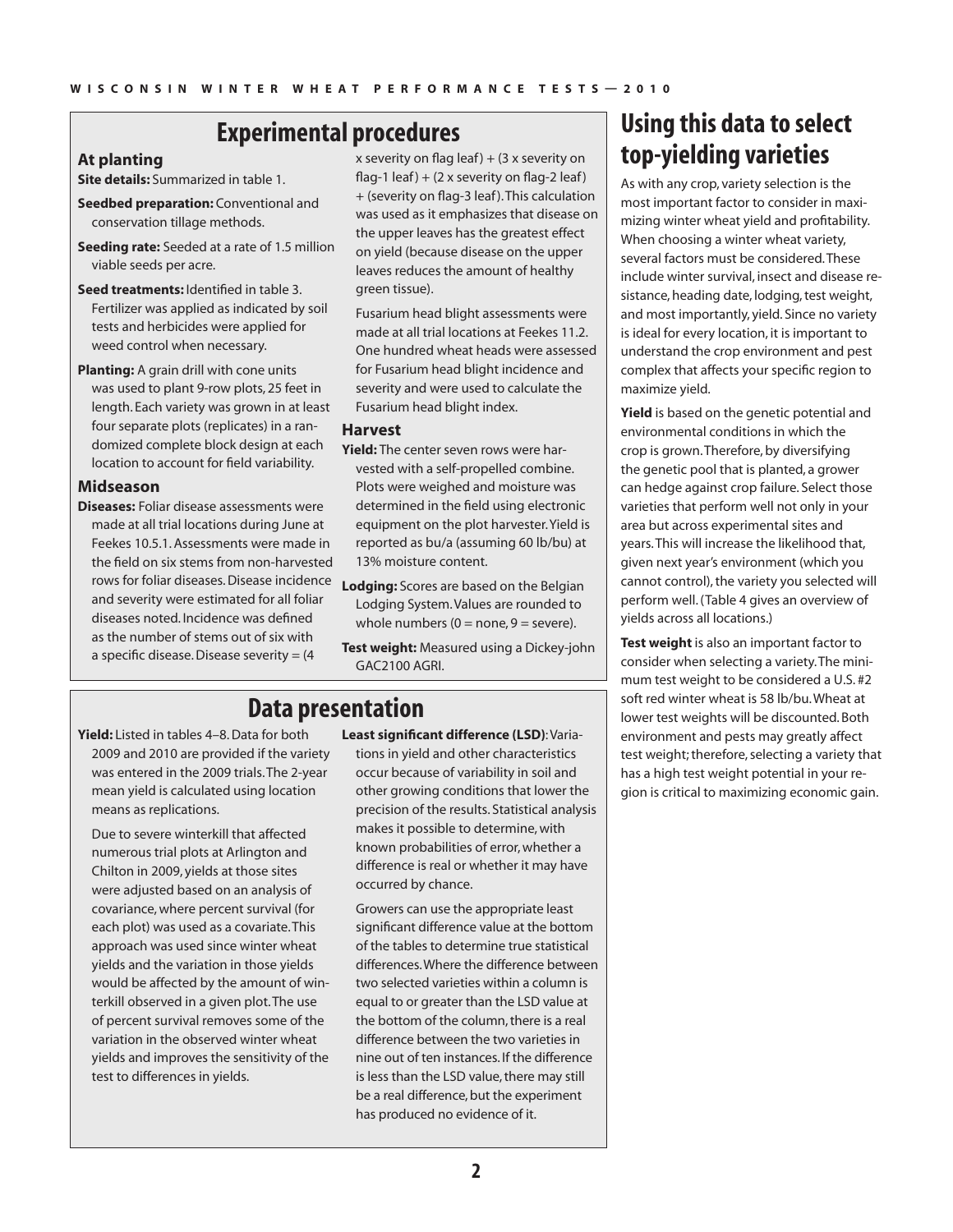### **Experimental procedures**

#### **At planting**

**Site details:** Summarized in table 1.

- **Seedbed preparation:** Conventional and conservation tillage methods.
- **Seeding rate:** Seeded at a rate of 1.5 million viable seeds per acre.
- **Seed treatments:** Identified in table 3. Fertilizer was applied as indicated by soil tests and herbicides were applied for weed control when necessary.
- **Planting:** A grain drill with cone units was used to plant 9-row plots, 25 feet in length. Each variety was grown in at least four separate plots (replicates) in a randomized complete block design at each location to account for field variability.

#### **Midseason**

**Diseases:** Foliar disease assessments were made at all trial locations during June at Feekes 10.5.1. Assessments were made in the field on six stems from non-harvested rows for foliar diseases. Disease incidence **Lodging:** Scores are based on the Belgian and severity were estimated for all foliar diseases noted. Incidence was defined as the number of stems out of six with a specific disease. Disease severity = (4

x severity on flag leaf)  $+$  (3 x severity on flag-1 leaf) +  $(2 \times$  severity on flag-2 leaf) + (severity on flag-3 leaf ). This calculation was used as it emphasizes that disease on the upper leaves has the greatest effect on yield (because disease on the upper leaves reduces the amount of healthy green tissue).

Fusarium head blight assessments were made at all trial locations at Feekes 11.2. One hundred wheat heads were assessed for Fusarium head blight incidence and severity and were used to calculate the Fusarium head blight index.

#### **Harvest**

- **Yield:** The center seven rows were harvested with a self-propelled combine. Plots were weighed and moisture was determined in the field using electronic equipment on the plot harvester. Yield is reported as bu/a (assuming 60 lb/bu) at 13% moisture content.
- Lodging System. Values are rounded to whole numbers  $(0 = none, 9 = severe)$ .
- **Test weight:** Measured using a Dickey-john GAC2100 AGRI.

## **Data presentation**

**Yield:** Listed in tables 4–8. Data for both 2009 and 2010 are provided if the variety was entered in the 2009 trials. The 2-year mean yield is calculated using location means as replications.

Due to severe winterkill that affected numerous trial plots at Arlington and Chilton in 2009, yields at those sites were adjusted based on an analysis of covariance, where percent survival (for each plot) was used as a covariate. This approach was used since winter wheat yields and the variation in those yields would be affected by the amount of winterkill observed in a given plot. The use of percent survival removes some of the variation in the observed winter wheat yields and improves the sensitivity of the test to differences in yields.

**Least significant difference (LSD)**: Variations in yield and other characteristics occur because of variability in soil and other growing conditions that lower the precision of the results. Statistical analysis makes it possible to determine, with known probabilities of error, whether a difference is real or whether it may have occurred by chance.

Growers can use the appropriate least significant difference value at the bottom of the tables to determine true statistical differences. Where the difference between two selected varieties within a column is equal to or greater than the LSD value at the bottom of the column, there is a real difference between the two varieties in nine out of ten instances. If the difference is less than the LSD value, there may still be a real difference, but the experiment has produced no evidence of it.

## **Using this data to select top-yielding varieties**

As with any crop, variety selection is the most important factor to consider in maximizing winter wheat yield and profitability. When choosing a winter wheat variety, several factors must be considered. These include winter survival, insect and disease resistance, heading date, lodging, test weight, and most importantly, yield. Since no variety is ideal for every location, it is important to understand the crop environment and pest complex that affects your specific region to maximize yield.

**Yield** is based on the genetic potential and environmental conditions in which the crop is grown. Therefore, by diversifying the genetic pool that is planted, a grower can hedge against crop failure. Select those varieties that perform well not only in your area but across experimental sites and years. This will increase the likelihood that, given next year's environment (which you cannot control), the variety you selected will perform well. (Table 4 gives an overview of yields across all locations.)

**Test weight** is also an important factor to consider when selecting a variety. The minimum test weight to be considered a U.S. #2 soft red winter wheat is 58 lb/bu. Wheat at lower test weights will be discounted. Both environment and pests may greatly affect test weight; therefore, selecting a variety that has a high test weight potential in your region is critical to maximizing economic gain.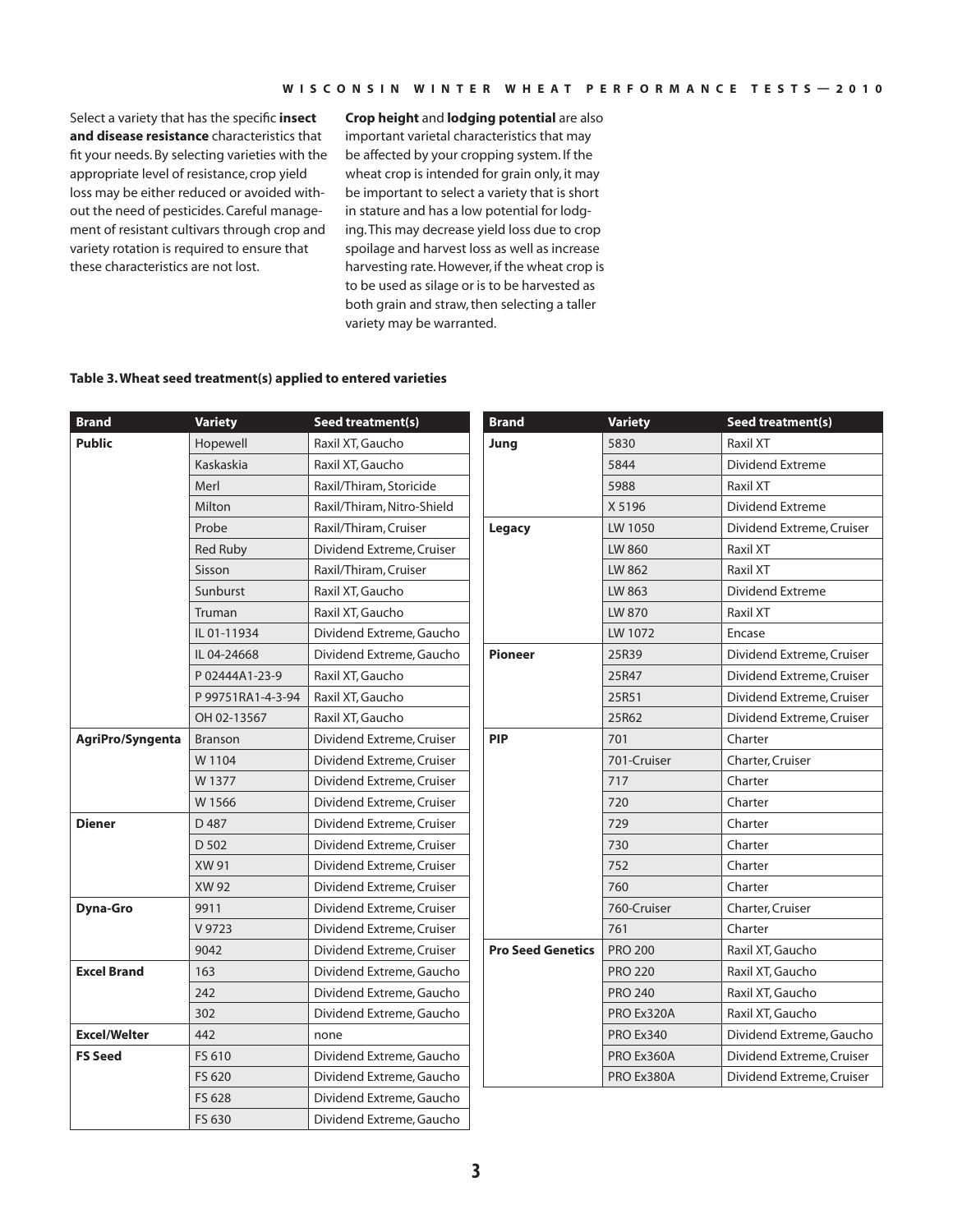Select a variety that has the specific **insect and disease resistance** characteristics that fit your needs. By selecting varieties with the appropriate level of resistance, crop yield loss may be either reduced or avoided without the need of pesticides. Careful management of resistant cultivars through crop and variety rotation is required to ensure that these characteristics are not lost.

**Crop height** and **lodging potential** are also important varietal characteristics that may be affected by your cropping system. If the wheat crop is intended for grain only, it may be important to select a variety that is short in stature and has a low potential for lodging. This may decrease yield loss due to crop spoilage and harvest loss as well as increase harvesting rate. However, if the wheat crop is to be used as silage or is to be harvested as both grain and straw, then selecting a taller variety may be warranted.

#### **Table 3. Wheat seed treatment(s) applied to entered varieties**

| <b>Brand</b>        | <b>Variety</b>    | <b>Seed treatment(s)</b>   | <b>Brand</b>             | <b>Variety</b>   | Seed treatment(s)         |
|---------------------|-------------------|----------------------------|--------------------------|------------------|---------------------------|
| <b>Public</b>       | Hopewell          | Raxil XT, Gaucho           | Jung                     | 5830             | Raxil XT                  |
|                     | Kaskaskia         | Raxil XT, Gaucho           |                          | 5844             | <b>Dividend Extreme</b>   |
|                     | Merl              | Raxil/Thiram, Storicide    |                          | 5988             | Raxil XT                  |
|                     | Milton            | Raxil/Thiram, Nitro-Shield |                          | X 5196           | <b>Dividend Extreme</b>   |
|                     | Probe             | Raxil/Thiram, Cruiser      | Legacy                   | LW 1050          | Dividend Extreme, Cruiser |
|                     | <b>Red Ruby</b>   | Dividend Extreme, Cruiser  |                          | LW 860           | Raxil XT                  |
|                     | Sisson            | Raxil/Thiram, Cruiser      |                          | LW 862           | Raxil XT                  |
|                     | Sunburst          | Raxil XT, Gaucho           |                          | LW 863           | Dividend Extreme          |
|                     | Truman            | Raxil XT, Gaucho           |                          | LW 870           | Raxil XT                  |
|                     | IL 01-11934       | Dividend Extreme, Gaucho   |                          | LW 1072          | Encase                    |
|                     | IL 04-24668       | Dividend Extreme, Gaucho   | <b>Pioneer</b>           | 25R39            | Dividend Extreme, Cruiser |
|                     | P 02444A1-23-9    | Raxil XT, Gaucho           |                          | 25R47            | Dividend Extreme, Cruiser |
|                     | P 99751RA1-4-3-94 | Raxil XT, Gaucho           |                          | 25R51            | Dividend Extreme, Cruiser |
|                     | OH 02-13567       | Raxil XT, Gaucho           |                          | 25R62            | Dividend Extreme, Cruiser |
| AgriPro/Syngenta    | <b>Branson</b>    | Dividend Extreme, Cruiser  | <b>PIP</b>               | 701              | Charter                   |
|                     | W 1104            | Dividend Extreme, Cruiser  |                          | 701-Cruiser      | Charter, Cruiser          |
|                     | W 1377            | Dividend Extreme, Cruiser  |                          | 717              | Charter                   |
|                     | W 1566            | Dividend Extreme, Cruiser  |                          | 720              | Charter                   |
| <b>Diener</b>       | D487              | Dividend Extreme, Cruiser  |                          | 729              | Charter                   |
|                     | D 502             | Dividend Extreme, Cruiser  |                          | 730              | Charter                   |
|                     | XW 91             | Dividend Extreme, Cruiser  |                          | 752              | Charter                   |
|                     | <b>XW 92</b>      | Dividend Extreme, Cruiser  |                          | 760              | Charter                   |
| <b>Dyna-Gro</b>     | 9911              | Dividend Extreme, Cruiser  |                          | 760-Cruiser      | Charter, Cruiser          |
|                     | V 9723            | Dividend Extreme, Cruiser  |                          | 761              | Charter                   |
|                     | 9042              | Dividend Extreme, Cruiser  | <b>Pro Seed Genetics</b> | <b>PRO 200</b>   | Raxil XT, Gaucho          |
| <b>Excel Brand</b>  | 163               | Dividend Extreme, Gaucho   |                          | <b>PRO 220</b>   | Raxil XT, Gaucho          |
|                     | 242               | Dividend Extreme, Gaucho   |                          | <b>PRO 240</b>   | Raxil XT, Gaucho          |
|                     | 302               | Dividend Extreme, Gaucho   |                          | PRO Ex320A       | Raxil XT, Gaucho          |
| <b>Excel/Welter</b> | 442               | none                       |                          | <b>PRO Ex340</b> | Dividend Extreme, Gaucho  |
| <b>FS Seed</b>      | FS 610            | Dividend Extreme, Gaucho   |                          | PRO Ex360A       | Dividend Extreme, Cruiser |
|                     | FS 620            | Dividend Extreme, Gaucho   |                          | PRO Ex380A       | Dividend Extreme, Cruiser |
|                     | FS 628            | Dividend Extreme, Gaucho   |                          |                  |                           |
|                     | FS 630            | Dividend Extreme, Gaucho   |                          |                  |                           |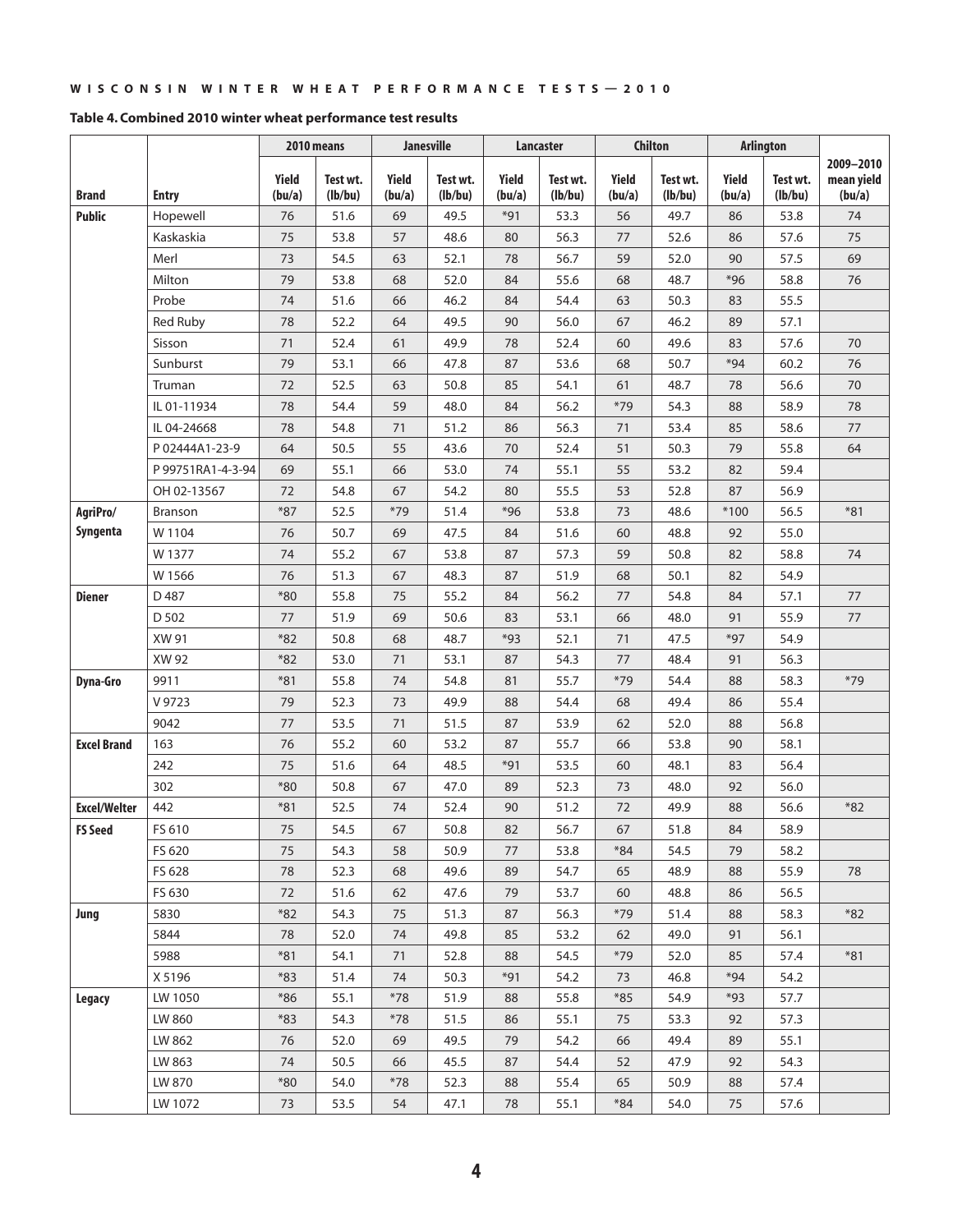|                     |                   |                 | 2010 means          |                 | <b>Janesville</b>   |                 | Lancaster           |                 | <b>Chilton</b>      |                 | <b>Arlington</b>    |                                   |
|---------------------|-------------------|-----------------|---------------------|-----------------|---------------------|-----------------|---------------------|-----------------|---------------------|-----------------|---------------------|-----------------------------------|
| <b>Brand</b>        | <b>Entry</b>      | Yield<br>(bu/a) | Test wt.<br>(lb/bu) | Yield<br>(bu/a) | Test wt.<br>(lb/bu) | Yield<br>(bu/a) | Test wt.<br>(lb/bu) | Yield<br>(bu/a) | Test wt.<br>(lb/bu) | Yield<br>(bu/a) | Test wt.<br>(lb/bu) | 2009-2010<br>mean yield<br>(bu/a) |
| <b>Public</b>       | Hopewell          | 76              | 51.6                | 69              | 49.5                | $*91$           | 53.3                | 56              | 49.7                | 86              | 53.8                | 74                                |
|                     | Kaskaskia         | 75              | 53.8                | 57              | 48.6                | 80              | 56.3                | $77 \,$         | 52.6                | 86              | 57.6                | 75                                |
|                     | Merl              | 73              | 54.5                | 63              | 52.1                | 78              | 56.7                | 59              | 52.0                | 90              | 57.5                | 69                                |
|                     | Milton            | 79              | 53.8                | 68              | 52.0                | 84              | 55.6                | 68              | 48.7                | $*96$           | 58.8                | 76                                |
|                     | Probe             | 74              | 51.6                | 66              | 46.2                | 84              | 54.4                | 63              | 50.3                | 83              | 55.5                |                                   |
|                     | <b>Red Ruby</b>   | 78              | 52.2                | 64              | 49.5                | 90              | 56.0                | 67              | 46.2                | 89              | 57.1                |                                   |
|                     | Sisson            | 71              | 52.4                | 61              | 49.9                | 78              | 52.4                | 60              | 49.6                | 83              | 57.6                | 70                                |
|                     | Sunburst          | 79              | 53.1                | 66              | 47.8                | 87              | 53.6                | 68              | 50.7                | $*94$           | 60.2                | 76                                |
|                     | Truman            | 72              | 52.5                | 63              | 50.8                | 85              | 54.1                | 61              | 48.7                | 78              | 56.6                | 70                                |
|                     | IL 01-11934       | 78              | 54.4                | 59              | 48.0                | 84              | 56.2                | $*79$           | 54.3                | 88              | 58.9                | 78                                |
|                     | IL 04-24668       | 78              | 54.8                | 71              | 51.2                | 86              | 56.3                | 71              | 53.4                | 85              | 58.6                | 77                                |
|                     | P 02444A1-23-9    | 64              | 50.5                | 55              | 43.6                | 70              | 52.4                | 51              | 50.3                | 79              | 55.8                | 64                                |
|                     | P 99751RA1-4-3-94 | 69              | 55.1                | 66              | 53.0                | 74              | 55.1                | 55              | 53.2                | 82              | 59.4                |                                   |
|                     | OH 02-13567       | 72              | 54.8                | 67              | 54.2                | 80              | 55.5                | 53              | 52.8                | 87              | 56.9                |                                   |
| AgriPro/            | Branson           | $*87$           | 52.5                | $*79$           | 51.4                | $*96$           | 53.8                | 73              | 48.6                | $*100$          | 56.5                | $*81$                             |
| Syngenta            | W 1104            | 76              | 50.7                | 69              | 47.5                | 84              | 51.6                | 60              | 48.8                | 92              | 55.0                |                                   |
|                     | W 1377            | 74              | 55.2                | 67              | 53.8                | 87              | 57.3                | 59              | 50.8                | 82              | 58.8                | 74                                |
|                     | W 1566            | 76              | 51.3                | 67              | 48.3                | 87              | 51.9                | 68              | 50.1                | 82              | 54.9                |                                   |
| <b>Diener</b>       | D487              | $*80$           | 55.8                | 75              | 55.2                | 84              | 56.2                | 77              | 54.8                | 84              | 57.1                | 77                                |
|                     | D 502             | 77              | 51.9                | 69              | 50.6                | 83              | 53.1                | 66              | 48.0                | 91              | 55.9                | 77                                |
|                     | XW 91             | $*82$           | 50.8                | 68              | 48.7                | $*93$           | 52.1                | 71              | 47.5                | $*97$           | 54.9                |                                   |
|                     | XW 92             | $*82$           | 53.0                | 71              | 53.1                | 87              | 54.3                | 77              | 48.4                | 91              | 56.3                |                                   |
| Dyna-Gro            | 9911              | $*81$           | 55.8                | 74              | 54.8                | 81              | 55.7                | $*79$           | 54.4                | 88              | 58.3                | $*79$                             |
|                     | V 9723            | 79              | 52.3                | 73              | 49.9                | 88              | 54.4                | 68              | 49.4                | 86              | 55.4                |                                   |
|                     | 9042              | 77              | 53.5                | 71              | 51.5                | 87              | 53.9                | 62              | 52.0                | 88              | 56.8                |                                   |
| <b>Excel Brand</b>  | 163               | 76              | 55.2                | 60              | 53.2                | 87              | 55.7                | 66              | 53.8                | 90              | 58.1                |                                   |
|                     | 242               | 75              | 51.6                | 64              | 48.5                | $*91$           | 53.5                | 60              | 48.1                | 83              | 56.4                |                                   |
|                     | 302               | $*80$           | 50.8                | 67              | 47.0                | 89              | 52.3                | 73              | 48.0                | 92              | 56.0                |                                   |
| <b>Excel/Welter</b> | 442               | $*81$           | 52.5                | 74              | 52.4                | 90              | 51.2                | 72              | 49.9                | 88              | 56.6                | $*82$                             |
| <b>FS Seed</b>      | FS 610            | 75              | 54.5                | 67              | 50.8                | 82              | 56.7                | 67              | 51.8                | 84              | 58.9                |                                   |
|                     | FS 620            | 75              | 54.3                | 58              | 50.9                | 77              | 53.8                | $*84$           | 54.5                | 79              | 58.2                |                                   |
|                     | FS 628            | 78              | 52.3                | 68              | 49.6                | 89              | 54.7                | 65              | 48.9                | 88              | 55.9                | 78                                |
|                     | FS 630            | 72              | 51.6                | 62              | 47.6                | 79              | 53.7                | 60              | 48.8                | 86              | 56.5                |                                   |
| Jung                | 5830              | $*82$           | 54.3                | 75              | 51.3                | 87              | 56.3                | $*79$           | 51.4                | 88              | 58.3                | $*82$                             |
|                     | 5844              | 78              | 52.0                | 74              | 49.8                | 85              | 53.2                | 62              | 49.0                | 91              | 56.1                |                                   |
|                     | 5988              | $*81$           | 54.1                | 71              | 52.8                | 88              | 54.5                | $*79$           | 52.0                | 85              | 57.4                | $*81$                             |
|                     | X 5196            | $*83$           | 51.4                | 74              | 50.3                | $*91$           | 54.2                | 73              | 46.8                | *94             | 54.2                |                                   |
| <b>Legacy</b>       | LW 1050           | $*86$           | 55.1                | $*78$           | 51.9                | 88              | 55.8                | $*85$           | 54.9                | *93             | 57.7                |                                   |
|                     | LW 860            | $*83$           | 54.3                | $*78$           | 51.5                | 86              | 55.1                | 75              | 53.3                | 92              | 57.3                |                                   |
|                     | LW 862            | 76              | 52.0                | 69              | 49.5                | 79              | 54.2                | 66              | 49.4                | 89              | 55.1                |                                   |
|                     | LW 863            | 74              | 50.5                | 66              | 45.5                | 87              | 54.4                | 52              | 47.9                | 92              | 54.3                |                                   |
|                     | LW 870            | $*80$           | 54.0                | $*78$           | 52.3                | 88              | 55.4                | 65              | 50.9                | 88              | 57.4                |                                   |
|                     | LW 1072           | 73              | 53.5                | 54              | 47.1                | 78              | 55.1                | $*84$           | 54.0                | 75              | 57.6                |                                   |

#### **Table 4. Combined 2010 winter wheat performance test results**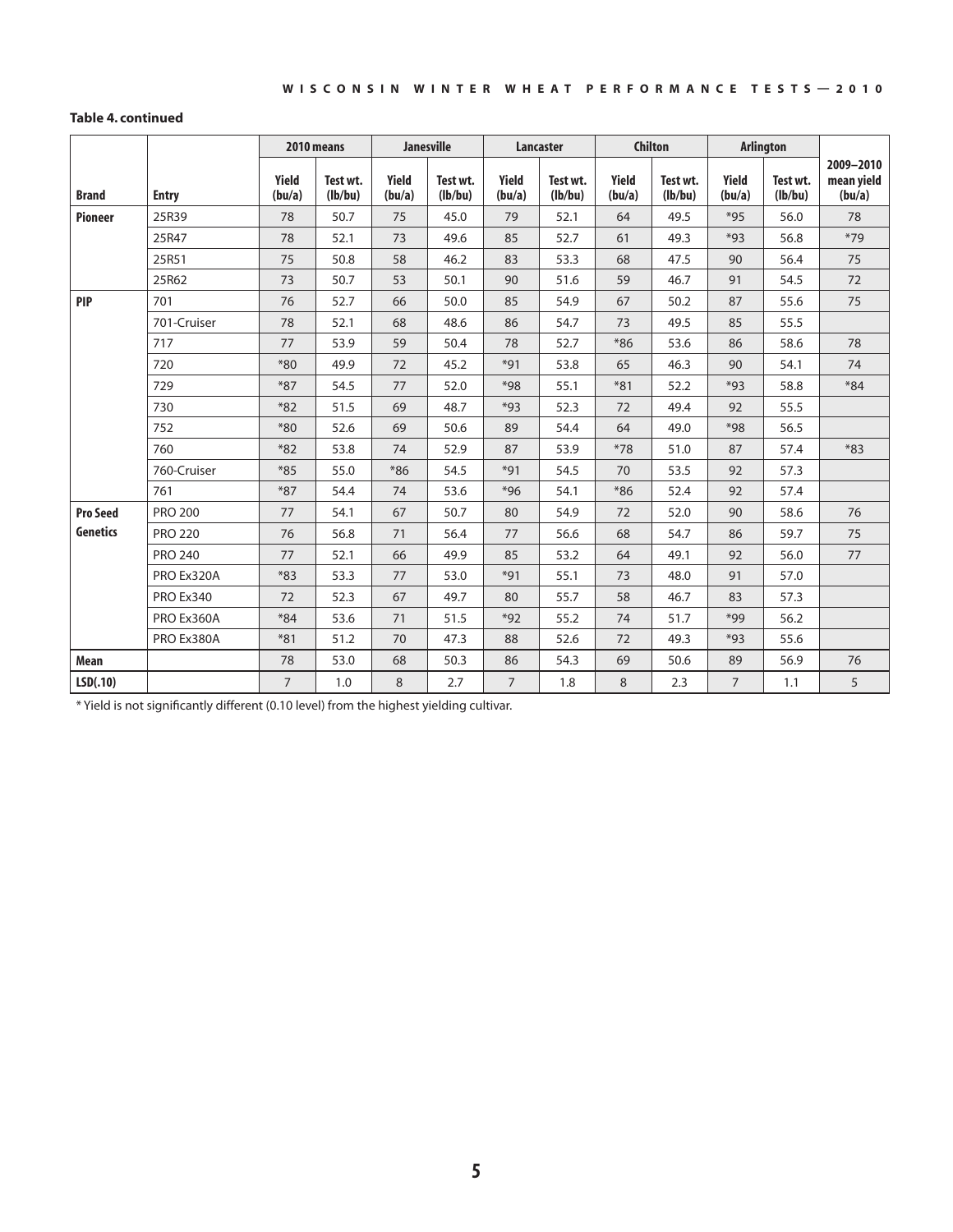#### **Table 4. continued**

|                 |                |                 | 2010 means          |                 | <b>Janesville</b>   |                 | <b>Lancaster</b>    |                 | <b>Chilton</b>      |                 | <b>Arlington</b>    |                                   |
|-----------------|----------------|-----------------|---------------------|-----------------|---------------------|-----------------|---------------------|-----------------|---------------------|-----------------|---------------------|-----------------------------------|
| <b>Brand</b>    | <b>Entry</b>   | Yield<br>(bu/a) | Test wt.<br>(lb/bu) | Yield<br>(bu/a) | Test wt.<br>(lb/bu) | Yield<br>(bu/a) | Test wt.<br>(lb/bu) | Yield<br>(bu/a) | Test wt.<br>(lb/bu) | Yield<br>(bu/a) | Test wt.<br>(Ib/bu) | 2009-2010<br>mean yield<br>(bu/a) |
| <b>Pioneer</b>  | 25R39          | 78              | 50.7                | 75              | 45.0                | 79              | 52.1                | 64              | 49.5                | $*95$           | 56.0                | 78                                |
|                 | 25R47          | 78              | 52.1                | 73              | 49.6                | 85              | 52.7                | 61              | 49.3                | $*93$           | 56.8                | $*79$                             |
|                 | 25R51          | 75              | 50.8                | 58              | 46.2                | 83              | 53.3                | 68              | 47.5                | 90              | 56.4                | 75                                |
|                 | 25R62          | 73              | 50.7                | 53              | 50.1                | 90              | 51.6                | 59              | 46.7                | 91              | 54.5                | 72                                |
| <b>PIP</b>      | 701            | 76              | 52.7                | 66              | 50.0                | 85              | 54.9                | 67              | 50.2                | 87              | 55.6                | 75                                |
|                 | 701-Cruiser    | 78              | 52.1                | 68              | 48.6                | 86              | 54.7                | 73              | 49.5                | 85              | 55.5                |                                   |
|                 | 717            | 77              | 53.9                | 59              | 50.4                | 78              | 52.7                | $*86$           | 53.6                | 86              | 58.6                | 78                                |
|                 | 720            | $*80$           | 49.9                | 72              | 45.2                | $*91$           | 53.8                | 65              | 46.3                | 90              | 54.1                | 74                                |
|                 | 729            | $*87$           | 54.5                | 77              | 52.0                | $*98$           | 55.1                | $*81$           | 52.2                | $*93$           | 58.8                | $*84$                             |
|                 | 730            | $*82$           | 51.5                | 69              | 48.7                | $*93$           | 52.3                | 72              | 49.4                | 92              | 55.5                |                                   |
|                 | 752            | $*80$           | 52.6                | 69              | 50.6                | 89              | 54.4                | 64              | 49.0                | *98             | 56.5                |                                   |
|                 | 760            | $*82$           | 53.8                | 74              | 52.9                | 87              | 53.9                | $*78$           | 51.0                | 87              | 57.4                | $*83$                             |
|                 | 760-Cruiser    | $*85$           | 55.0                | $*86$           | 54.5                | $*91$           | 54.5                | 70              | 53.5                | 92              | 57.3                |                                   |
|                 | 761            | $*87$           | 54.4                | 74              | 53.6                | $*96$           | 54.1                | $*86$           | 52.4                | 92              | 57.4                |                                   |
| <b>Pro Seed</b> | <b>PRO 200</b> | 77              | 54.1                | 67              | 50.7                | 80              | 54.9                | 72              | 52.0                | 90              | 58.6                | 76                                |
| <b>Genetics</b> | <b>PRO 220</b> | 76              | 56.8                | 71              | 56.4                | 77              | 56.6                | 68              | 54.7                | 86              | 59.7                | 75                                |
|                 | <b>PRO 240</b> | 77              | 52.1                | 66              | 49.9                | 85              | 53.2                | 64              | 49.1                | 92              | 56.0                | 77                                |
|                 | PRO Ex320A     | $*83$           | 53.3                | 77              | 53.0                | $*91$           | 55.1                | 73              | 48.0                | 91              | 57.0                |                                   |
|                 | PRO Ex340      | 72              | 52.3                | 67              | 49.7                | 80              | 55.7                | 58              | 46.7                | 83              | 57.3                |                                   |
|                 | PRO Ex360A     | $*84$           | 53.6                | 71              | 51.5                | $*92$           | 55.2                | 74              | 51.7                | $*99$           | 56.2                |                                   |
|                 | PRO Ex380A     | $*81$           | 51.2                | 70              | 47.3                | 88              | 52.6                | 72              | 49.3                | $*93$           | 55.6                |                                   |
| Mean            |                | 78              | 53.0                | 68              | 50.3                | 86              | 54.3                | 69              | 50.6                | 89              | 56.9                | 76                                |
| LSD(.10)        |                | $7^{\circ}$     | 1.0                 | 8               | 2.7                 | $\overline{7}$  | 1.8                 | 8               | 2.3                 | $7^{\circ}$     | 1.1                 | 5                                 |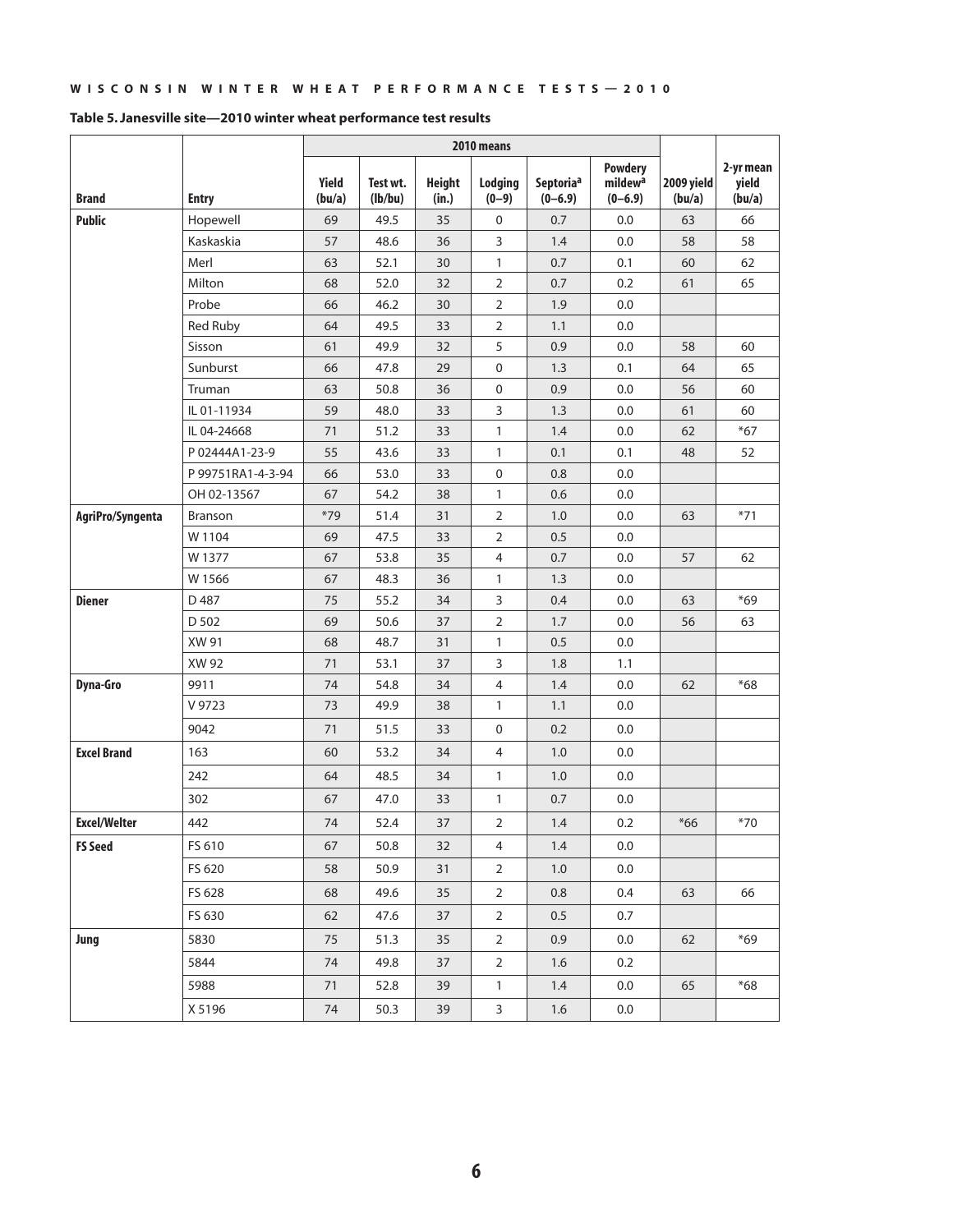|                     |                   |                 |                     |                        | 2010 means          |                                      |                                                      |                      |                              |
|---------------------|-------------------|-----------------|---------------------|------------------------|---------------------|--------------------------------------|------------------------------------------------------|----------------------|------------------------------|
| <b>Brand</b>        | <b>Entry</b>      | Yield<br>(bu/a) | Test wt.<br>(lb/bu) | <b>Height</b><br>(in.) | Lodging<br>$(0-9)$  | Septoria <sup>a</sup><br>$(0 - 6.9)$ | <b>Powdery</b><br>mildew <sup>a</sup><br>$(0 - 6.9)$ | 2009 yield<br>(bu/a) | 2-yr mean<br>yield<br>(bu/a) |
| <b>Public</b>       | Hopewell          | 69              | 49.5                | 35                     | 0                   | 0.7                                  | 0.0                                                  | 63                   | 66                           |
|                     | Kaskaskia         | 57              | 48.6                | 36                     | 3                   | 1.4                                  | 0.0                                                  | 58                   | 58                           |
|                     | Merl              | 63              | 52.1                | 30                     | $\mathbf{1}$        | 0.7                                  | 0.1                                                  | 60                   | 62                           |
|                     | Milton            | 68              | 52.0                | 32                     | $\overline{2}$      | 0.7                                  | 0.2                                                  | 61                   | 65                           |
|                     | Probe             | 66              | 46.2                | 30                     | $\overline{2}$      | 1.9                                  | 0.0                                                  |                      |                              |
|                     | Red Ruby          | 64              | 49.5                | 33                     | $\overline{2}$      | 1.1                                  | 0.0                                                  |                      |                              |
|                     | Sisson            | 61              | 49.9                | 32                     | 5                   | 0.9                                  | 0.0                                                  | 58                   | 60                           |
|                     | Sunburst          | 66              | 47.8                | 29                     | $\mathsf 0$         | 1.3                                  | 0.1                                                  | 64                   | 65                           |
|                     | Truman            | 63              | 50.8                | 36                     | $\mathsf 0$         | 0.9                                  | 0.0                                                  | 56                   | 60                           |
|                     | IL 01-11934       | 59              | 48.0                | 33                     | 3                   | 1.3                                  | 0.0                                                  | 61                   | 60                           |
|                     | IL 04-24668       | 71              | 51.2                | 33                     | $\mathbf{1}$        | 1.4                                  | 0.0                                                  | 62                   | $*67$                        |
|                     | P 02444A1-23-9    | 55              | 43.6                | 33                     | 1                   | 0.1                                  | 0.1                                                  | 48                   | 52                           |
|                     | P 99751RA1-4-3-94 | 66              | 53.0                | 33                     | $\mathsf{O}\xspace$ | 0.8                                  | 0.0                                                  |                      |                              |
|                     | OH 02-13567       | 67              | 54.2                | 38                     | $\mathbf{1}$        | 0.6                                  | 0.0                                                  |                      |                              |
| AgriPro/Syngenta    | Branson           | $*79$           | 51.4                | 31                     | $\overline{2}$      | 1.0                                  | 0.0                                                  | 63                   | $*71$                        |
|                     | W 1104            | 69              | 47.5                | 33                     | $\overline{2}$      | 0.5                                  | 0.0                                                  |                      |                              |
|                     | W 1377            | 67              | 53.8                | 35                     | $\overline{4}$      | 0.7                                  | 0.0                                                  | 57                   | 62                           |
|                     | W 1566            | 67              | 48.3                | 36                     | $\mathbf{1}$        | 1.3                                  | 0.0                                                  |                      |                              |
| <b>Diener</b>       | D 487             | 75              | 55.2                | 34                     | 3                   | 0.4                                  | 0.0                                                  | 63                   | $*69$                        |
|                     | D 502             | 69              | 50.6                | 37                     | $\overline{2}$      | 1.7                                  | 0.0                                                  | 56                   | 63                           |
|                     | XW 91             | 68              | 48.7                | 31                     | $\mathbf{1}$        | 0.5                                  | 0.0                                                  |                      |                              |
|                     | XW 92             | 71              | 53.1                | 37                     | 3                   | 1.8                                  | 1.1                                                  |                      |                              |
| <b>Dyna-Gro</b>     | 9911              | 74              | 54.8                | 34                     | $\overline{4}$      | 1.4                                  | 0.0                                                  | 62                   | $*68$                        |
|                     | V 9723            | 73              | 49.9                | 38                     | $\mathbf{1}$        | 1.1                                  | 0.0                                                  |                      |                              |
|                     | 9042              | 71              | 51.5                | 33                     | $\mathsf{O}\xspace$ | 0.2                                  | 0.0                                                  |                      |                              |
| <b>Excel Brand</b>  | 163               | 60              | 53.2                | 34                     | $\overline{4}$      | 1.0                                  | 0.0                                                  |                      |                              |
|                     | 242               | 64              | 48.5                | 34                     | $\mathbf{1}$        | 1.0                                  | 0.0                                                  |                      |                              |
|                     | 302               | 67              | 47.0                | 33                     | $\mathbf{1}$        | 0.7                                  | 0.0                                                  |                      |                              |
| <b>Excel/Welter</b> | 442               | 74              | 52.4                | 37                     | $\overline{2}$      | 1.4                                  | 0.2                                                  | $*66$                | $*70$                        |
| <b>FS Seed</b>      | FS 610            | 67              | 50.8                | 32                     | $\overline{4}$      | 1.4                                  | 0.0                                                  |                      |                              |
|                     | FS 620            | 58              | 50.9                | 31                     | $\overline{2}$      | 1.0                                  | 0.0                                                  |                      |                              |
|                     | FS 628            | 68              | 49.6                | 35                     | $\overline{2}$      | 0.8                                  | 0.4                                                  | 63                   | 66                           |
|                     | FS 630            | 62              | 47.6                | 37                     | $\overline{2}$      | 0.5                                  | 0.7                                                  |                      |                              |
| Jung                | 5830              | 75              | 51.3                | 35                     | $\overline{2}$      | 0.9                                  | 0.0                                                  | 62                   | $*69$                        |
|                     | 5844              | 74              | 49.8                | 37                     | $\overline{2}$      | 1.6                                  | 0.2                                                  |                      |                              |
|                     | 5988              | 71              | 52.8                | 39                     | $\mathbf{1}$        | 1.4                                  | $0.0\,$                                              | 65                   | $*68$                        |
|                     | X 5196            | 74              | 50.3                | 39                     | $\overline{3}$      | 1.6                                  | $0.0\,$                                              |                      |                              |

#### **Table 5. Janesville site—2010 winter wheat performance test results**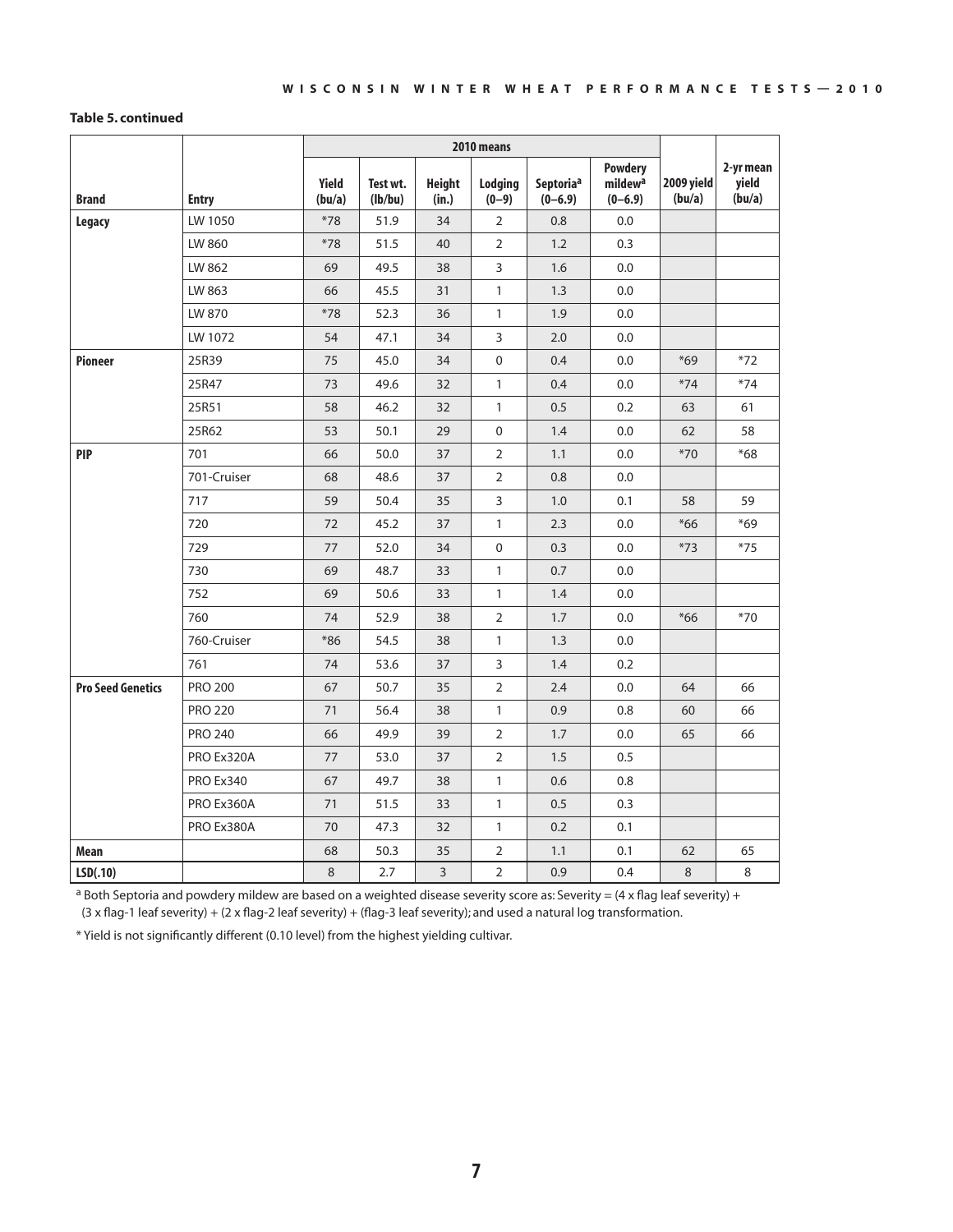#### **Table 5. continued**

|                          |                |                        |                     |                        | 2010 means           |                                      |                                                      |                      |                              |
|--------------------------|----------------|------------------------|---------------------|------------------------|----------------------|--------------------------------------|------------------------------------------------------|----------------------|------------------------------|
| <b>Brand</b>             | <b>Entry</b>   | <b>Yield</b><br>(bu/a) | Test wt.<br>(lb/bu) | <b>Height</b><br>(in.) | Lodging<br>$(0 - 9)$ | Septoria <sup>a</sup><br>$(0 - 6.9)$ | <b>Powdery</b><br>mildew <sup>a</sup><br>$(0 - 6.9)$ | 2009 yield<br>(bu/a) | 2-yr mean<br>yield<br>(bu/a) |
| <b>Legacy</b>            | LW 1050        | $*78$                  | 51.9                | 34                     | $\overline{2}$       | 0.8                                  | 0.0                                                  |                      |                              |
|                          | LW 860         | $*78$                  | 51.5                | 40                     | $\overline{2}$       | 1.2                                  | 0.3                                                  |                      |                              |
|                          | LW 862         | 69                     | 49.5                | 38                     | 3                    | 1.6                                  | 0.0                                                  |                      |                              |
|                          | LW 863         | 66                     | 45.5                | 31                     | $\mathbf{1}$         | 1.3                                  | 0.0                                                  |                      |                              |
|                          | LW 870         | $*78$                  | 52.3                | 36                     | $\mathbf{1}$         | 1.9                                  | 0.0                                                  |                      |                              |
|                          | LW 1072        | 54                     | 47.1                | 34                     | 3                    | 2.0                                  | 0.0                                                  |                      |                              |
| <b>Pioneer</b>           | 25R39          | 75                     | 45.0                | 34                     | $\mathbf 0$          | 0.4                                  | 0.0                                                  | $*69$                | $*72$                        |
|                          | 25R47          | 73                     | 49.6                | 32                     | $\mathbf{1}$         | 0.4                                  | 0.0                                                  | $*74$                | $*74$                        |
|                          | 25R51          | 58                     | 46.2                | 32                     | $\mathbf{1}$         | 0.5                                  | 0.2                                                  | 63                   | 61                           |
|                          | 25R62          | 53                     | 50.1                | 29                     | $\mathbf 0$          | 1.4                                  | 0.0                                                  | 62                   | 58                           |
| <b>PIP</b>               | 701            | 66                     | 50.0                | 37                     | $\overline{2}$       | 1.1                                  | 0.0                                                  | $*70$                | $*68$                        |
|                          | 701-Cruiser    | 68                     | 48.6                | 37                     | $\overline{2}$       | 0.8                                  | 0.0                                                  |                      |                              |
|                          | 717            | 59                     | 50.4                | 35                     | 3                    | 1.0                                  | 0.1                                                  | 58                   | 59                           |
|                          | 720            | 72                     | 45.2                | 37                     | $\mathbf{1}$         | 2.3                                  | 0.0                                                  | $*66$                | $*69$                        |
|                          | 729            | 77                     | 52.0                | 34                     | $\mathbf 0$          | 0.3                                  | 0.0                                                  | $*73$                | $*75$                        |
|                          | 730            | 69                     | 48.7                | 33                     | $\mathbf{1}$         | 0.7                                  | 0.0                                                  |                      |                              |
|                          | 752            | 69                     | 50.6                | 33                     | $\mathbf{1}$         | 1.4                                  | 0.0                                                  |                      |                              |
|                          | 760            | 74                     | 52.9                | 38                     | 2                    | 1.7                                  | 0.0                                                  | $*66$                | $*70$                        |
|                          | 760-Cruiser    | $*86$                  | 54.5                | 38                     | $\mathbf{1}$         | 1.3                                  | 0.0                                                  |                      |                              |
|                          | 761            | 74                     | 53.6                | 37                     | 3                    | 1.4                                  | 0.2                                                  |                      |                              |
| <b>Pro Seed Genetics</b> | <b>PRO 200</b> | 67                     | 50.7                | 35                     | $\overline{2}$       | 2.4                                  | 0.0                                                  | 64                   | 66                           |
|                          | <b>PRO 220</b> | 71                     | 56.4                | 38                     | $\mathbf{1}$         | 0.9                                  | 0.8                                                  | 60                   | 66                           |
|                          | <b>PRO 240</b> | 66                     | 49.9                | 39                     | $\overline{2}$       | 1.7                                  | 0.0                                                  | 65                   | 66                           |
|                          | PRO Ex320A     | 77                     | 53.0                | 37                     | 2                    | 1.5                                  | 0.5                                                  |                      |                              |
|                          | PRO Ex340      | 67                     | 49.7                | 38                     | $\mathbf{1}$         | 0.6                                  | 0.8                                                  |                      |                              |
|                          | PRO Ex360A     | 71                     | 51.5                | 33                     | $\mathbf{1}$         | 0.5                                  | 0.3                                                  |                      |                              |
|                          | PRO Ex380A     | 70                     | 47.3                | 32                     | $\mathbf{1}$         | 0.2                                  | 0.1                                                  |                      |                              |
| Mean                     |                | 68                     | 50.3                | 35                     | $\overline{2}$       | 1.1                                  | 0.1                                                  | 62                   | 65                           |
| LSD(.10)                 |                | 8                      | 2.7                 | 3                      | $\overline{2}$       | 0.9                                  | 0.4                                                  | 8                    | 8                            |

<sup>a</sup> Both Septoria and powdery mildew are based on a weighted disease severity score as: Severity =  $(4 \times$  flag leaf severity) + (3 x flag-1 leaf severity) + (2 x flag-2 leaf severity) + (flag-3 leaf severity); and used a natural log transformation.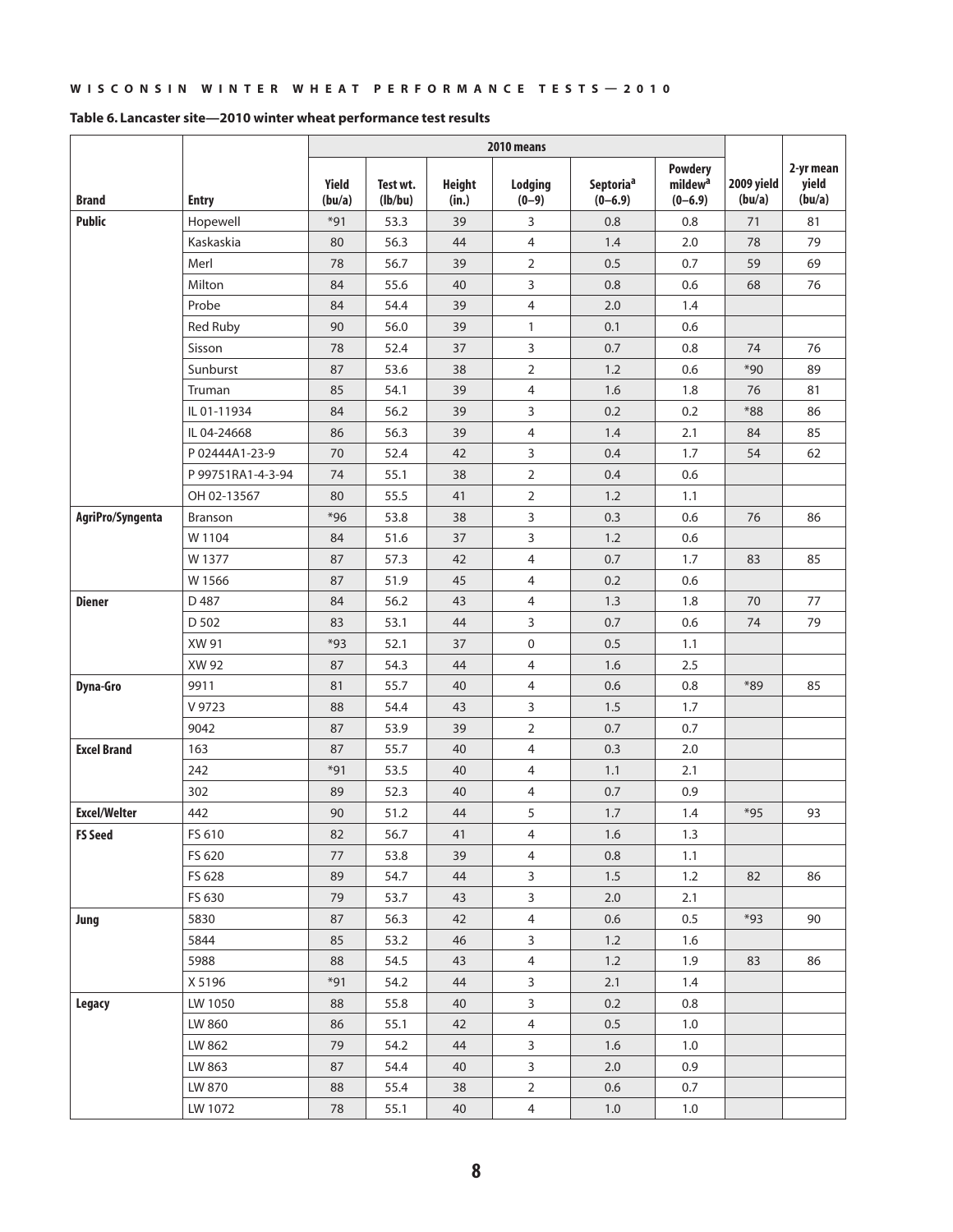|                     |                   |                 |                     |                        | 2010 means                |                                    |                                                      |                      |                              |
|---------------------|-------------------|-----------------|---------------------|------------------------|---------------------------|------------------------------------|------------------------------------------------------|----------------------|------------------------------|
| <b>Brand</b>        | <b>Entry</b>      | Yield<br>(bu/a) | Test wt.<br>(lb/bu) | <b>Height</b><br>(in.) | <b>Lodging</b><br>$(0-9)$ | Septoria <sup>a</sup><br>$(0-6.9)$ | <b>Powdery</b><br>mildew <sup>a</sup><br>$(0 - 6.9)$ | 2009 yield<br>(bu/a) | 2-yr mean<br>yield<br>(bu/a) |
| <b>Public</b>       | Hopewell          | $*91$           | 53.3                | 39                     | 3                         | 0.8                                | 0.8                                                  | 71                   | 81                           |
|                     | Kaskaskia         | 80              | 56.3                | 44                     | $\overline{4}$            | 1.4                                | 2.0                                                  | 78                   | 79                           |
|                     | Merl              | 78              | 56.7                | 39                     | $\mathbf 2$               | 0.5                                | 0.7                                                  | 59                   | 69                           |
|                     | Milton            | 84              | 55.6                | 40                     | 3                         | 0.8                                | 0.6                                                  | 68                   | 76                           |
|                     | Probe             | 84              | 54.4                | 39                     | $\overline{4}$            | 2.0                                | 1.4                                                  |                      |                              |
|                     | Red Ruby          | 90              | 56.0                | 39                     | $\mathbf{1}$              | 0.1                                | 0.6                                                  |                      |                              |
|                     | Sisson            | 78              | 52.4                | 37                     | 3                         | 0.7                                | 0.8                                                  | 74                   | 76                           |
|                     | Sunburst          | 87              | 53.6                | 38                     | $\overline{2}$            | 1.2                                | 0.6                                                  | $*90$                | 89                           |
|                     | Truman            | 85              | 54.1                | 39                     | $\overline{4}$            | 1.6                                | 1.8                                                  | 76                   | 81                           |
|                     | IL 01-11934       | 84              | 56.2                | 39                     | 3                         | 0.2                                | 0.2                                                  | $*88$                | 86                           |
|                     | IL 04-24668       | 86              | 56.3                | 39                     | 4                         | 1.4                                | 2.1                                                  | 84                   | 85                           |
|                     | P 02444A1-23-9    | 70              | 52.4                | 42                     | 3                         | 0.4                                | 1.7                                                  | 54                   | 62                           |
|                     | P 99751RA1-4-3-94 | 74              | 55.1                | 38                     | $\mathbf 2$               | 0.4                                | 0.6                                                  |                      |                              |
|                     | OH 02-13567       | 80              | 55.5                | 41                     | $\overline{2}$            | 1.2                                | 1.1                                                  |                      |                              |
| AgriPro/Syngenta    | <b>Branson</b>    | $*96$           | 53.8                | 38                     | 3                         | 0.3                                | 0.6                                                  | 76                   | 86                           |
|                     | W 1104            | 84              | 51.6                | 37                     | 3                         | 1.2                                | 0.6                                                  |                      |                              |
|                     | W 1377            | 87              | 57.3                | 42                     | $\overline{4}$            | 0.7                                | 1.7                                                  | 83                   | 85                           |
|                     | W 1566            | 87              | 51.9                | 45                     | $\overline{4}$            | 0.2                                | 0.6                                                  |                      |                              |
| <b>Diener</b>       | D 487             | 84              | 56.2                | 43                     | $\overline{4}$            | 1.3                                | 1.8                                                  | 70                   | 77                           |
|                     | D 502             | 83              | 53.1                | 44                     | 3                         | 0.7                                | 0.6                                                  | 74                   | 79                           |
|                     | XW 91             | $*93$           | 52.1                | 37                     | 0                         | 0.5                                | 1.1                                                  |                      |                              |
|                     | XW 92             | 87              | 54.3                | 44                     | $\overline{4}$            | 1.6                                | 2.5                                                  |                      |                              |
| <b>Dyna-Gro</b>     | 9911              | 81              | 55.7                | 40                     | $\overline{4}$            | 0.6                                | 0.8                                                  | $*89$                | 85                           |
|                     | V 9723            | 88              | 54.4                | 43                     | 3                         | 1.5                                | 1.7                                                  |                      |                              |
|                     | 9042              | 87              | 53.9                | 39                     | $\overline{2}$            | 0.7                                | 0.7                                                  |                      |                              |
| <b>Excel Brand</b>  | 163               | 87              | 55.7                | 40                     | $\overline{4}$            | 0.3                                | 2.0                                                  |                      |                              |
|                     | 242               | $*91$           | 53.5                | 40                     | $\overline{4}$            | 1.1                                | 2.1                                                  |                      |                              |
|                     | 302               | 89              | 52.3                | 40                     | $\overline{4}$            | 0.7                                | 0.9                                                  |                      |                              |
| <b>Excel/Welter</b> | 442               | 90              | 51.2                | 44                     | 5                         | 1.7                                | 1.4                                                  | $*95$                | 93                           |
| <b>FS Seed</b>      | FS 610            | 82              | 56.7                | 41                     | $\overline{4}$            | $1.6\,$                            | 1.3                                                  |                      |                              |
|                     | FS 620            | 77              | 53.8                | 39                     | $\overline{4}$            | 0.8                                | 1.1                                                  |                      |                              |
|                     | FS 628            | 89              | 54.7                | 44                     | 3                         | 1.5                                | 1.2                                                  | 82                   | 86                           |
|                     | FS 630            | 79              | 53.7                | 43                     | 3                         | 2.0                                | 2.1                                                  |                      |                              |
| Jung                | 5830              | 87              | 56.3                | 42                     | $\overline{4}$            | 0.6                                | 0.5                                                  | $*93$                | 90                           |
|                     | 5844              | 85              | 53.2                | 46                     | $\mathbf{3}$              | 1.2                                | 1.6                                                  |                      |                              |
|                     | 5988              | 88              | 54.5                | 43                     | $\overline{4}$            | 1.2                                | 1.9                                                  | 83                   | 86                           |
|                     | X 5196            | $*91$           | 54.2                | 44                     | 3                         | 2.1                                | 1.4                                                  |                      |                              |
| <b>Legacy</b>       | LW 1050           | 88              | 55.8                | 40                     | $\mathbf{3}$              | 0.2                                | 0.8                                                  |                      |                              |
|                     | LW 860            | 86              | 55.1                | 42                     | $\overline{4}$            | 0.5                                | 1.0                                                  |                      |                              |
|                     | LW 862            | 79              | 54.2                | 44                     | 3                         | 1.6                                | 1.0                                                  |                      |                              |
|                     | LW 863            | 87              | 54.4                | 40                     | 3                         | 2.0                                | 0.9                                                  |                      |                              |
|                     | LW 870            | 88              | 55.4                | 38                     | $\overline{2}$            | 0.6                                | 0.7                                                  |                      |                              |
|                     | LW 1072           | 78              | 55.1                | 40                     | $\overline{4}$            | 1.0                                | 1.0                                                  |                      |                              |

#### **Table 6. Lancaster site—2010 winter wheat performance test results**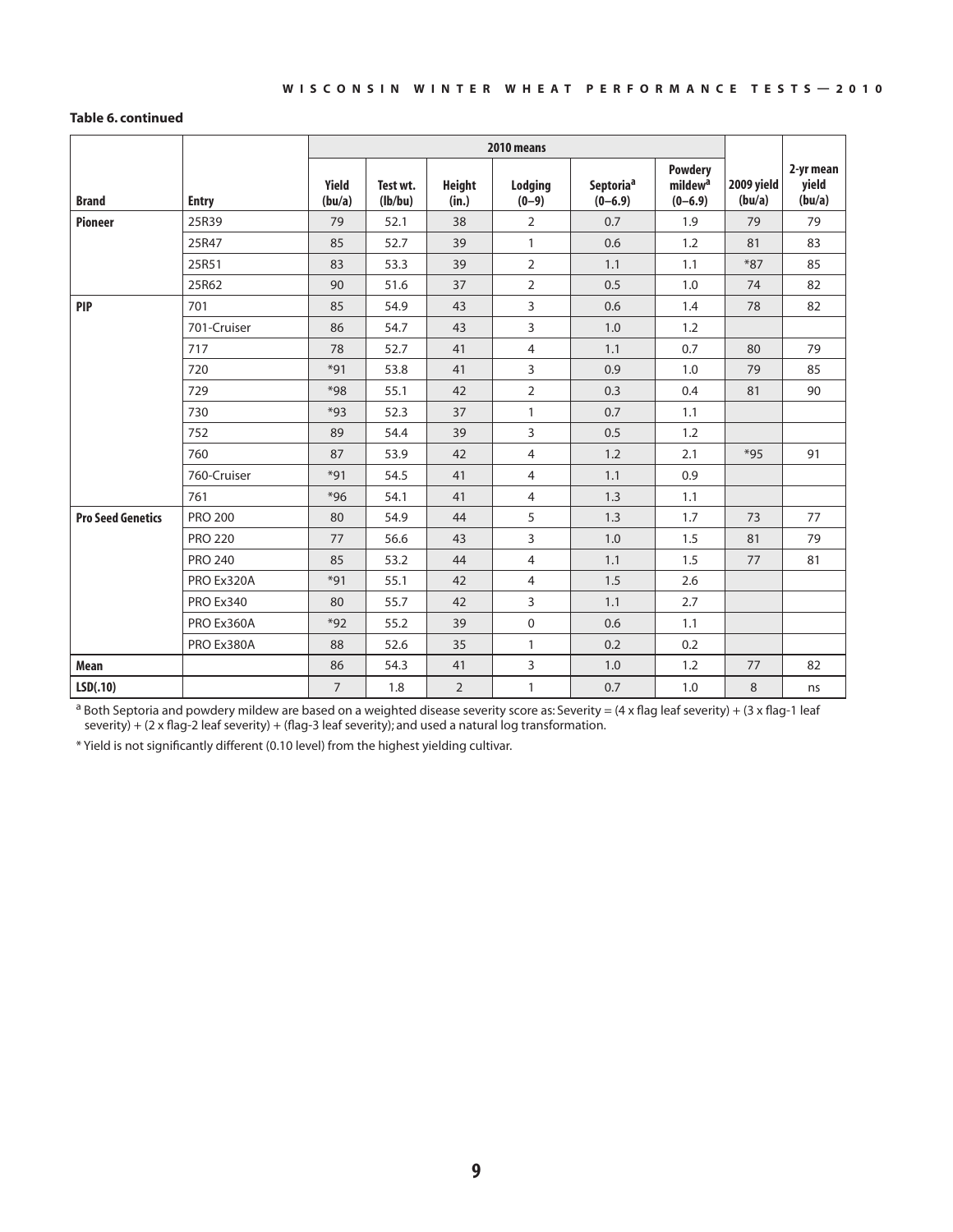#### **Table 6. continued**

|                          |                  |                 |                     |                        | 2010 means         |                                    |                                                      |                      |                              |
|--------------------------|------------------|-----------------|---------------------|------------------------|--------------------|------------------------------------|------------------------------------------------------|----------------------|------------------------------|
| <b>Brand</b>             | <b>Entry</b>     | Yield<br>(bu/a) | Test wt.<br>(lb/bu) | <b>Height</b><br>(in.) | Lodging<br>$(0-9)$ | Septoria <sup>a</sup><br>$(0-6.9)$ | <b>Powdery</b><br>mildew <sup>a</sup><br>$(0 - 6.9)$ | 2009 yield<br>(bu/a) | 2-yr mean<br>yield<br>(bu/a) |
| <b>Pioneer</b>           | 25R39            | 79              | 52.1                | 38                     | $\overline{2}$     | 0.7                                | 1.9                                                  | 79                   | 79                           |
|                          | 25R47            | 85              | 52.7                | 39                     | $\mathbf{1}$       | 0.6                                | 1.2                                                  | 81                   | 83                           |
|                          | 25R51            | 83              | 53.3                | 39                     | $\overline{2}$     | 1.1                                | 1.1                                                  | $*87$                | 85                           |
|                          | 25R62            | 90              | 51.6                | 37                     | $\overline{2}$     | 0.5                                | 1.0                                                  | 74                   | 82                           |
| <b>PIP</b>               | 701              | 85              | 54.9                | 43                     | 3                  | 0.6                                | 1.4                                                  | 78                   | 82                           |
|                          | 701-Cruiser      | 86              | 54.7                | 43                     | 3                  | 1.0                                | 1.2                                                  |                      |                              |
|                          | 717              | 78              | 52.7                | 41                     | 4                  | 1.1                                | 0.7                                                  | 80                   | 79                           |
|                          | 720              | $*91$           | 53.8                | 41                     | 3                  | 0.9                                | 1.0                                                  | 79                   | 85                           |
|                          | 729              | $*98$           | 55.1                | 42                     | $\overline{2}$     | 0.3                                | 0.4                                                  | 81                   | 90                           |
|                          | 730              | *93             | 52.3                | 37                     | $\mathbf{1}$       | 0.7                                | 1.1                                                  |                      |                              |
|                          | 752              | 89              | 54.4                | 39                     | 3                  | 0.5                                | 1.2                                                  |                      |                              |
|                          | 760              | 87              | 53.9                | 42                     | $\overline{4}$     | 1.2                                | 2.1                                                  | $*95$                | 91                           |
|                          | 760-Cruiser      | $*91$           | 54.5                | 41                     | $\overline{4}$     | 1.1                                | 0.9                                                  |                      |                              |
|                          | 761              | $*96$           | 54.1                | 41                     | $\overline{4}$     | 1.3                                | 1.1                                                  |                      |                              |
| <b>Pro Seed Genetics</b> | <b>PRO 200</b>   | 80              | 54.9                | 44                     | 5                  | 1.3                                | 1.7                                                  | 73                   | 77                           |
|                          | <b>PRO 220</b>   | 77              | 56.6                | 43                     | 3                  | 1.0                                | 1.5                                                  | 81                   | 79                           |
|                          | <b>PRO 240</b>   | 85              | 53.2                | 44                     | $\overline{4}$     | 1.1                                | 1.5                                                  | 77                   | 81                           |
|                          | PRO Ex320A       | $*91$           | 55.1                | 42                     | 4                  | 1.5                                | 2.6                                                  |                      |                              |
|                          | <b>PRO Ex340</b> | 80              | 55.7                | 42                     | 3                  | 1.1                                | 2.7                                                  |                      |                              |
|                          | PRO Ex360A       | $*92$           | 55.2                | 39                     | $\boldsymbol{0}$   | 0.6                                | 1.1                                                  |                      |                              |
|                          | PRO Ex380A       | 88              | 52.6                | 35                     | $\mathbf{1}$       | 0.2                                | 0.2                                                  |                      |                              |
| <b>Mean</b>              |                  | 86              | 54.3                | 41                     | 3                  | 1.0                                | 1.2                                                  | 77                   | 82                           |
| LSD(.10)                 |                  | $\overline{7}$  | 1.8                 | $\overline{2}$         | $\mathbf{1}$       | 0.7                                | 1.0                                                  | 8                    | ns                           |

<sup>a</sup> Both Septoria and powdery mildew are based on a weighted disease severity score as: Severity = (4 x flag leaf severity) + (3 x flag-1 leaf severity) + (2 x flag-2 leaf severity) + (flag-3 leaf severity); and used a natural log transformation.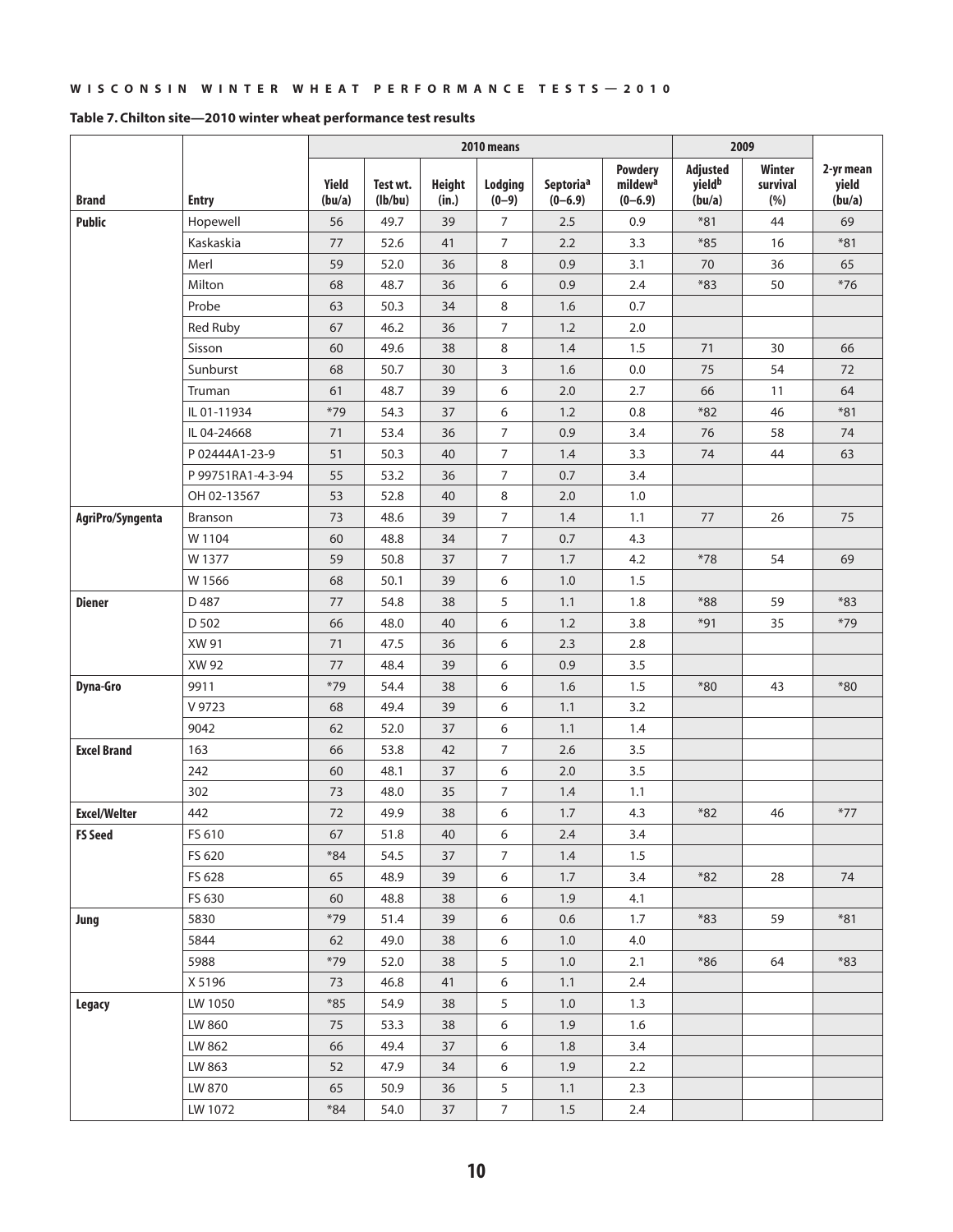|                     |                   | 2010 means              |                     |                        |                    |                                    |                                                    |                                          | 2009                      |                              |
|---------------------|-------------------|-------------------------|---------------------|------------------------|--------------------|------------------------------------|----------------------------------------------------|------------------------------------------|---------------------------|------------------------------|
| <b>Brand</b>        | <b>Entry</b>      | Yield<br>(bu/a)         | Test wt.<br>(lb/bu) | <b>Height</b><br>(in.) | Lodaina<br>$(0-9)$ | Septoria <sup>a</sup><br>$(0-6.9)$ | <b>Powdery</b><br>mildew <sup>a</sup><br>$(0-6.9)$ | Adjusted<br>yield <sup>b</sup><br>(bu/a) | Winter<br>survival<br>(%) | 2-yr mean<br>yield<br>(bu/a) |
| <b>Public</b>       | Hopewell          | 56                      | 49.7                | 39                     | 7                  | 2.5                                | 0.9                                                | $*81$                                    | 44                        | 69                           |
|                     | Kaskaskia         | 77                      | 52.6                | 41                     | $\overline{7}$     | 2.2                                | 3.3                                                | $*85$                                    | 16                        | $*81$                        |
|                     | Merl              | 59                      | 52.0                | 36                     | 8                  | 0.9                                | 3.1                                                | 70                                       | 36                        | 65                           |
|                     | Milton            | 68                      | 48.7                | 36                     | 6                  | 0.9                                | 2.4                                                | $*83$                                    | 50                        | $*76$                        |
|                     | Probe             | 63                      | 50.3                | 34                     | 8                  | 1.6                                | 0.7                                                |                                          |                           |                              |
|                     | Red Ruby          | 67                      | 46.2                | 36                     | $\overline{7}$     | 1.2                                | 2.0                                                |                                          |                           |                              |
|                     | Sisson            | 60                      | 49.6                | 38                     | 8                  | 1.4                                | 1.5                                                | 71                                       | 30                        | 66                           |
|                     | Sunburst          | 68                      | 50.7                | 30                     | 3                  | 1.6                                | 0.0                                                | 75                                       | 54                        | 72                           |
|                     | Truman            | 61                      | 48.7                | 39                     | 6                  | 2.0                                | 2.7                                                | 66                                       | 11                        | 64                           |
|                     | IL 01-11934       | $*79$                   | 54.3                | 37                     | 6                  | 1.2                                | 0.8                                                | $*82$                                    | 46                        | $*81$                        |
|                     | IL 04-24668       | 71                      | 53.4                | 36                     | $\overline{7}$     | 0.9                                | 3.4                                                | 76                                       | 58                        | 74                           |
|                     | P 02444A1-23-9    | 51                      | 50.3                | 40                     | $\boldsymbol{7}$   | 1.4                                | 3.3                                                | 74                                       | 44                        | 63                           |
|                     | P 99751RA1-4-3-94 | 55                      | 53.2                | 36                     | $\overline{7}$     | 0.7                                | 3.4                                                |                                          |                           |                              |
|                     | OH 02-13567       | 53                      | 52.8                | 40                     | 8                  | 2.0                                | 1.0                                                |                                          |                           |                              |
| AgriPro/Syngenta    | Branson           | 73                      | 48.6                | 39                     | $\overline{7}$     | 1.4                                | 1.1                                                | 77                                       | 26                        | 75                           |
|                     | W 1104            | 60                      | 48.8                | 34                     | $\overline{7}$     | 0.7                                | 4.3                                                |                                          |                           |                              |
|                     | W 1377            | 59                      | 50.8                | 37                     | $\overline{7}$     | 1.7                                | 4.2                                                | $*78$                                    | 54                        | 69                           |
|                     | W 1566            | 68                      | 50.1                | 39                     | 6                  | 1.0                                | 1.5                                                |                                          |                           |                              |
| <b>Diener</b>       | D 487             | 77                      | 54.8                | 38                     | 5                  | 1.1                                | 1.8                                                | $*88$                                    | 59                        | $*83$                        |
|                     | D 502             | 66                      | 48.0                | 40                     | 6                  | 1.2                                | 3.8                                                | $*91$                                    | 35                        | $*79$                        |
|                     | XW 91             | 71                      | 47.5                | 36                     | 6                  | 2.3                                | 2.8                                                |                                          |                           |                              |
|                     | XW 92             | 77                      | 48.4                | 39                     | 6                  | 0.9                                | 3.5                                                |                                          |                           |                              |
| <b>Dyna-Gro</b>     | 9911              | $*79$                   | 54.4                | 38                     | 6                  | 1.6                                | 1.5                                                | $*80$                                    | 43                        | $*80$                        |
|                     | V 9723            | 68                      | 49.4                | 39                     | 6                  | 1.1                                | 3.2                                                |                                          |                           |                              |
|                     | 9042              | 62                      | 52.0                | 37                     | 6                  | 1.1                                | 1.4                                                |                                          |                           |                              |
| <b>Excel Brand</b>  | 163               | 66                      | 53.8                | 42                     | 7                  | 2.6                                | 3.5                                                |                                          |                           |                              |
|                     | 242               | 60                      | 48.1                | 37                     | 6                  | 2.0                                | 3.5                                                |                                          |                           |                              |
|                     | 302               | 73                      | 48.0                | 35                     | 7                  | 1.4                                | 1.1                                                |                                          |                           |                              |
| <b>Excel/Welter</b> | 442               | 72                      | 49.9                | 38                     | 6                  | 1.7                                | 4.3                                                | $*82$                                    | 46                        | $*77$                        |
| <b>FS Seed</b>      | FS 610            | 67                      | 51.8                | 40                     | 6                  | $2.4\,$                            | 3.4                                                |                                          |                           |                              |
|                     | FS 620            | $*84$                   | 54.5                | 37                     | $\overline{7}$     | 1.4                                | 1.5                                                |                                          |                           |                              |
|                     | FS 628            | 65                      | 48.9                | 39                     | 6                  | 1.7                                | 3.4                                                | $*82$                                    | 28                        | 74                           |
|                     | FS 630            | 60                      | 48.8                | 38                     | 6                  | 1.9                                | 4.1                                                |                                          |                           |                              |
| Jung                | 5830              | $*79$                   | 51.4                | 39                     | 6                  | 0.6                                | 1.7                                                | $*83$                                    | 59                        | $*81$                        |
|                     | 5844              | 62                      | 49.0                | 38                     | 6                  | 1.0                                | 4.0                                                |                                          |                           |                              |
|                     | 5988              | $*79$                   | 52.0                | 38                     | 5                  | $1.0\,$                            | 2.1                                                | $*86$                                    | 64                        | $*83$                        |
|                     | X 5196            | 73                      | 46.8                | 41                     | 6                  | 1.1                                | 2.4                                                |                                          |                           |                              |
| Legacy              | LW 1050           | $*85$                   | 54.9                | 38                     | 5                  | 1.0                                | 1.3                                                |                                          |                           |                              |
|                     | LW 860            | 75                      | 53.3                | 38                     | 6                  | 1.9                                | 1.6                                                |                                          |                           |                              |
|                     | LW 862            | 66                      | 49.4                | 37                     | 6                  | 1.8                                | 3.4                                                |                                          |                           |                              |
|                     | LW 863            | 52                      | 47.9                | 34                     | 6                  | 1.9                                | 2.2                                                |                                          |                           |                              |
|                     | LW 870            | 65                      | 50.9                | 36                     | 5                  | 1.1                                | 2.3                                                |                                          |                           |                              |
|                     | LW 1072           | $\textcolor{red}{^*}84$ | 54.0                | 37                     | 7 <sup>7</sup>     | $1.5\,$                            | 2.4                                                |                                          |                           |                              |

#### **Table 7. Chilton site—2010 winter wheat performance test results**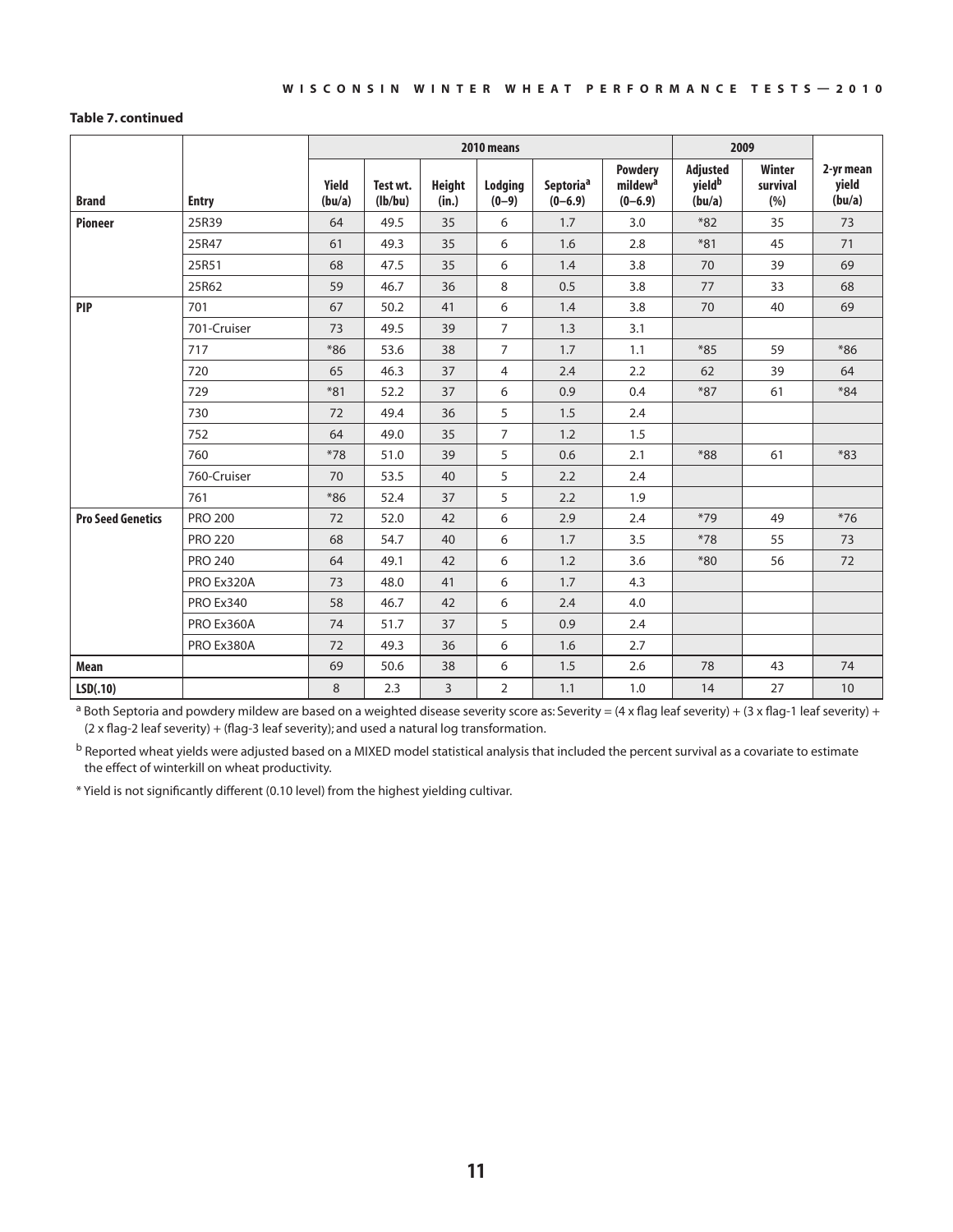#### **Table 7. continued**

|                          |                  |                 |                     |                        | 2010 means         |                          |                                                      | 2009                                     |                                   |                              |
|--------------------------|------------------|-----------------|---------------------|------------------------|--------------------|--------------------------|------------------------------------------------------|------------------------------------------|-----------------------------------|------------------------------|
| <b>Brand</b>             | <b>Entry</b>     | Yield<br>(bu/a) | Test wt.<br>(lb/bu) | <b>Height</b><br>(in.) | Lodging<br>$(0-9)$ | Septoriaª<br>$(0 - 6.9)$ | <b>Powdery</b><br>mildew <sup>a</sup><br>$(0 - 6.9)$ | Adjusted<br>yield <sup>b</sup><br>(bu/a) | <b>Winter</b><br>survival<br>(% ) | 2-yr mean<br>yield<br>(bu/a) |
| <b>Pioneer</b>           | 25R39            | 64              | 49.5                | 35                     | 6                  | 1.7                      | 3.0                                                  | $*82$                                    | 35                                | 73                           |
|                          | 25R47            | 61              | 49.3                | 35                     | 6                  | 1.6                      | 2.8                                                  | $*81$                                    | 45                                | 71                           |
|                          | 25R51            | 68              | 47.5                | 35                     | 6                  | 1.4                      | 3.8                                                  | 70                                       | 39                                | 69                           |
|                          | 25R62            | 59              | 46.7                | 36                     | 8                  | 0.5                      | 3.8                                                  | 77                                       | 33                                | 68                           |
| <b>PIP</b>               | 701              | 67              | 50.2                | 41                     | 6                  | 1.4                      | 3.8                                                  | 70                                       | 40                                | 69                           |
|                          | 701-Cruiser      | 73              | 49.5                | 39                     | $\overline{7}$     | 1.3                      | 3.1                                                  |                                          |                                   |                              |
|                          | 717              | $*86$           | 53.6                | 38                     | $\overline{7}$     | 1.7                      | 1.1                                                  | $*85$                                    | 59                                | $*86$                        |
|                          | 720              | 65              | 46.3                | 37                     | $\overline{4}$     | 2.4                      | 2.2                                                  | 62                                       | 39                                | 64                           |
|                          | 729              | $*81$           | 52.2                | 37                     | 6                  | 0.9                      | 0.4                                                  | $*87$                                    | 61                                | $*84$                        |
|                          | 730              | 72              | 49.4                | 36                     | 5                  | 1.5                      | 2.4                                                  |                                          |                                   |                              |
|                          | 752              | 64              | 49.0                | 35                     | $\overline{7}$     | 1.2                      | 1.5                                                  |                                          |                                   |                              |
|                          | 760              | $*78$           | 51.0                | 39                     | 5                  | 0.6                      | 2.1                                                  | $*88$                                    | 61                                | $*83$                        |
|                          | 760-Cruiser      | 70              | 53.5                | 40                     | 5                  | 2.2                      | 2.4                                                  |                                          |                                   |                              |
|                          | 761              | $*86$           | 52.4                | 37                     | 5                  | 2.2                      | 1.9                                                  |                                          |                                   |                              |
| <b>Pro Seed Genetics</b> | <b>PRO 200</b>   | 72              | 52.0                | 42                     | 6                  | 2.9                      | 2.4                                                  | $*79$                                    | 49                                | $*76$                        |
|                          | <b>PRO 220</b>   | 68              | 54.7                | 40                     | 6                  | 1.7                      | 3.5                                                  | $*78$                                    | 55                                | 73                           |
|                          | <b>PRO 240</b>   | 64              | 49.1                | 42                     | 6                  | 1.2                      | 3.6                                                  | $*80$                                    | 56                                | 72                           |
|                          | PRO Ex320A       | 73              | 48.0                | 41                     | 6                  | 1.7                      | 4.3                                                  |                                          |                                   |                              |
|                          | <b>PRO Ex340</b> | 58              | 46.7                | 42                     | 6                  | 2.4                      | 4.0                                                  |                                          |                                   |                              |
|                          | PRO Ex360A       | 74              | 51.7                | 37                     | 5                  | 0.9                      | 2.4                                                  |                                          |                                   |                              |
|                          | PRO Ex380A       | 72              | 49.3                | 36                     | 6                  | 1.6                      | 2.7                                                  |                                          |                                   |                              |
| <b>Mean</b>              |                  | 69              | 50.6                | 38                     | 6                  | 1.5                      | 2.6                                                  | 78                                       | 43                                | 74                           |
| LSD(.10)                 |                  | 8               | 2.3                 | $\overline{3}$         | $\overline{2}$     | 1.1                      | 1.0                                                  | 14                                       | 27                                | $10\,$                       |

<sup>a</sup> Both Septoria and powdery mildew are based on a weighted disease severity score as: Severity = (4 x flag leaf severity) + (3 x flag-1 leaf severity) + (2 x flag-2 leaf severity) + (flag-3 leaf severity); and used a natural log transformation.

b Reported wheat yields were adjusted based on a MIXED model statistical analysis that included the percent survival as a covariate to estimate the effect of winterkill on wheat productivity.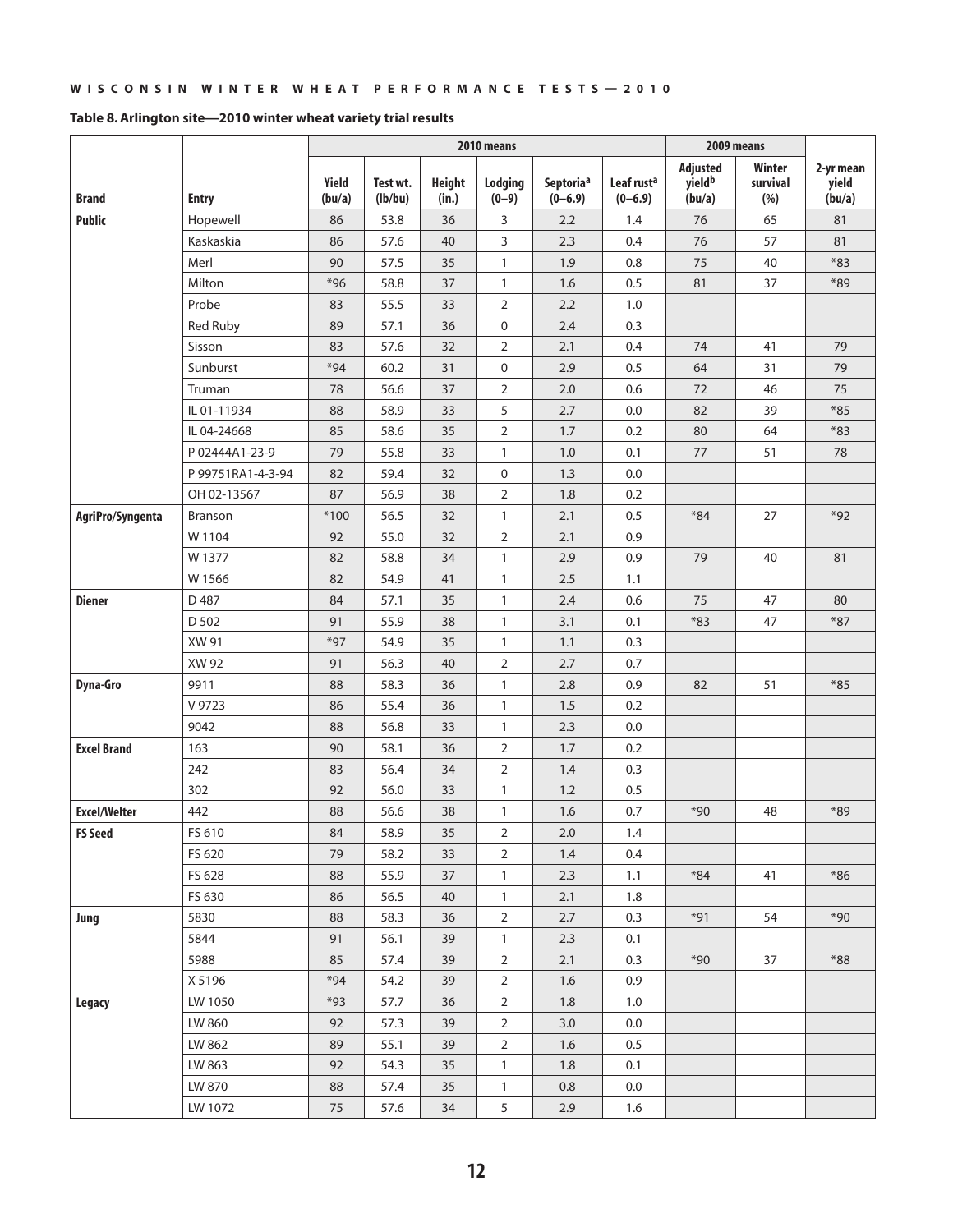|                     |                   | 2010 means      |                     |                        |                    |                          |                                       | 2009 means                                      |                            |                              |
|---------------------|-------------------|-----------------|---------------------|------------------------|--------------------|--------------------------|---------------------------------------|-------------------------------------------------|----------------------------|------------------------------|
| <b>Brand</b>        | <b>Entry</b>      | Yield<br>(bu/a) | Test wt.<br>(lb/bu) | <b>Height</b><br>(in.) | Lodging<br>$(0-9)$ | Septoriaª<br>$(0 - 6.9)$ | Leaf rust <sup>a</sup><br>$(0 - 6.9)$ | <b>Adjusted</b><br>yield <sup>b</sup><br>(bu/a) | Winter<br>survival<br>(% ) | 2-yr mean<br>yield<br>(bu/a) |
| <b>Public</b>       | Hopewell          | 86              | 53.8                | 36                     | 3                  | 2.2                      | 1.4                                   | 76                                              | 65                         | 81                           |
|                     | Kaskaskia         | 86              | 57.6                | 40                     | 3                  | 2.3                      | 0.4                                   | 76                                              | 57                         | 81                           |
|                     | Merl              | 90              | 57.5                | 35                     | $\mathbf{1}$       | 1.9                      | 0.8                                   | 75                                              | 40                         | $*83$                        |
|                     | Milton            | $*96$           | 58.8                | 37                     | $\mathbf{1}$       | 1.6                      | 0.5                                   | 81                                              | 37                         | $*89$                        |
|                     | Probe             | 83              | 55.5                | 33                     | $\overline{2}$     | 2.2                      | 1.0                                   |                                                 |                            |                              |
|                     | Red Ruby          | 89              | 57.1                | 36                     | 0                  | 2.4                      | 0.3                                   |                                                 |                            |                              |
|                     | Sisson            | 83              | 57.6                | 32                     | $\overline{2}$     | 2.1                      | 0.4                                   | 74                                              | 41                         | 79                           |
|                     | Sunburst          | $*94$           | 60.2                | 31                     | 0                  | 2.9                      | 0.5                                   | 64                                              | 31                         | 79                           |
|                     | Truman            | 78              | 56.6                | 37                     | $\overline{2}$     | 2.0                      | 0.6                                   | 72                                              | 46                         | 75                           |
|                     | IL 01-11934       | 88              | 58.9                | 33                     | 5                  | 2.7                      | 0.0                                   | 82                                              | 39                         | $*85$                        |
|                     | IL 04-24668       | 85              | 58.6                | 35                     | $\overline{2}$     | 1.7                      | 0.2                                   | 80                                              | 64                         | $*83$                        |
|                     | P 02444A1-23-9    | 79              | 55.8                | 33                     | $\mathbf{1}$       | 1.0                      | 0.1                                   | 77                                              | 51                         | 78                           |
|                     | P 99751RA1-4-3-94 | 82              | 59.4                | 32                     | 0                  | 1.3                      | 0.0                                   |                                                 |                            |                              |
|                     | OH 02-13567       | 87              | 56.9                | 38                     | $\overline{2}$     | 1.8                      | 0.2                                   |                                                 |                            |                              |
| AgriPro/Syngenta    | Branson           | $*100$          | 56.5                | 32                     | $\mathbf{1}$       | 2.1                      | 0.5                                   | $*84$                                           | 27                         | $*92$                        |
|                     | W 1104            | 92              | 55.0                | 32                     | $\overline{2}$     | 2.1                      | 0.9                                   |                                                 |                            |                              |
|                     | W 1377            | 82              | 58.8                | 34                     | $\mathbf{1}$       | 2.9                      | 0.9                                   | 79                                              | 40                         | 81                           |
|                     | W 1566            | 82              | 54.9                | 41                     | $\mathbf{1}$       | 2.5                      | 1.1                                   |                                                 |                            |                              |
| <b>Diener</b>       | D 487             | 84              | 57.1                | 35                     | $\mathbf{1}$       | 2.4                      | 0.6                                   | 75                                              | 47                         | 80                           |
|                     | D 502             | 91              | 55.9                | 38                     | $\mathbf{1}$       | 3.1                      | 0.1                                   | $*83$                                           | 47                         | $*87$                        |
|                     | XW 91             | $*97$           | 54.9                | 35                     | $\mathbf{1}$       | 1.1                      | 0.3                                   |                                                 |                            |                              |
|                     | XW 92             | 91              | 56.3                | 40                     | $\overline{2}$     | 2.7                      | 0.7                                   |                                                 |                            |                              |
| <b>Dyna-Gro</b>     | 9911              | 88              | 58.3                | 36                     | $\mathbf{1}$       | 2.8                      | 0.9                                   | 82                                              | 51                         | $*85$                        |
|                     | V 9723            | 86              | 55.4                | 36                     | $\mathbf{1}$       | 1.5                      | 0.2                                   |                                                 |                            |                              |
|                     | 9042              | 88              | 56.8                | 33                     | $\mathbf{1}$       | 2.3                      | 0.0                                   |                                                 |                            |                              |
| <b>Excel Brand</b>  | 163               | 90              | 58.1                | 36                     | $\overline{2}$     | 1.7                      | 0.2                                   |                                                 |                            |                              |
|                     | 242               | 83              | 56.4                | 34                     | $\overline{2}$     | 1.4                      | 0.3                                   |                                                 |                            |                              |
|                     | 302               | 92              | 56.0                | 33                     | $\mathbf{1}$       | 1.2                      | 0.5                                   |                                                 |                            |                              |
| <b>Excel/Welter</b> | 442               | 88              | 56.6                | 38                     | $\mathbf{1}$       | 1.6                      | 0.7                                   | $*90$                                           | 48                         | $*89$                        |
| <b>FS Seed</b>      | FS 610            | 84              | 58.9                | 35                     | 2                  | $2.0\,$                  | 1.4                                   |                                                 |                            |                              |
|                     | FS 620            | 79              | 58.2                | 33                     | $\overline{2}$     | 1.4                      | 0.4                                   |                                                 |                            |                              |
|                     | FS 628            | 88              | 55.9                | 37                     | $\mathbf{1}$       | 2.3                      | 1.1                                   | $*84$                                           | 41                         | $*86$                        |
|                     | FS 630            | 86              | 56.5                | 40                     | $\mathbf{1}$       | 2.1                      | 1.8                                   |                                                 |                            |                              |
| Jung                | 5830              | 88              | 58.3                | 36                     | $\overline{2}$     | 2.7                      | 0.3                                   | $*91$                                           | 54                         | $*90$                        |
|                     | 5844              | 91              | 56.1                | 39                     | $\mathbf{1}$       | 2.3                      | 0.1                                   |                                                 |                            |                              |
|                     | 5988              | 85              | 57.4                | 39                     | $\overline{2}$     | 2.1                      | 0.3                                   | $*90$                                           | 37                         | $*88$                        |
|                     | X 5196            | $*94$           | 54.2                | 39                     | $\overline{2}$     | 1.6                      | 0.9                                   |                                                 |                            |                              |
| Legacy              | LW 1050           | $*93$           | 57.7                | 36                     | $\overline{2}$     | 1.8                      | 1.0                                   |                                                 |                            |                              |
|                     | LW 860            | 92              | 57.3                | 39                     | $\overline{2}$     | 3.0                      | 0.0                                   |                                                 |                            |                              |
|                     | LW 862            | 89              | 55.1                | 39                     | $\overline{2}$     | 1.6                      | 0.5                                   |                                                 |                            |                              |
|                     | LW 863            | 92              | 54.3                | 35                     | $\mathbf{1}$       | 1.8                      | 0.1                                   |                                                 |                            |                              |
|                     | LW 870            | 88              | 57.4                | 35                     | $\mathbf{1}$       | 0.8                      | 0.0                                   |                                                 |                            |                              |
|                     | LW 1072           | 75              | 57.6                | 34                     | 5                  | 2.9                      | 1.6                                   |                                                 |                            |                              |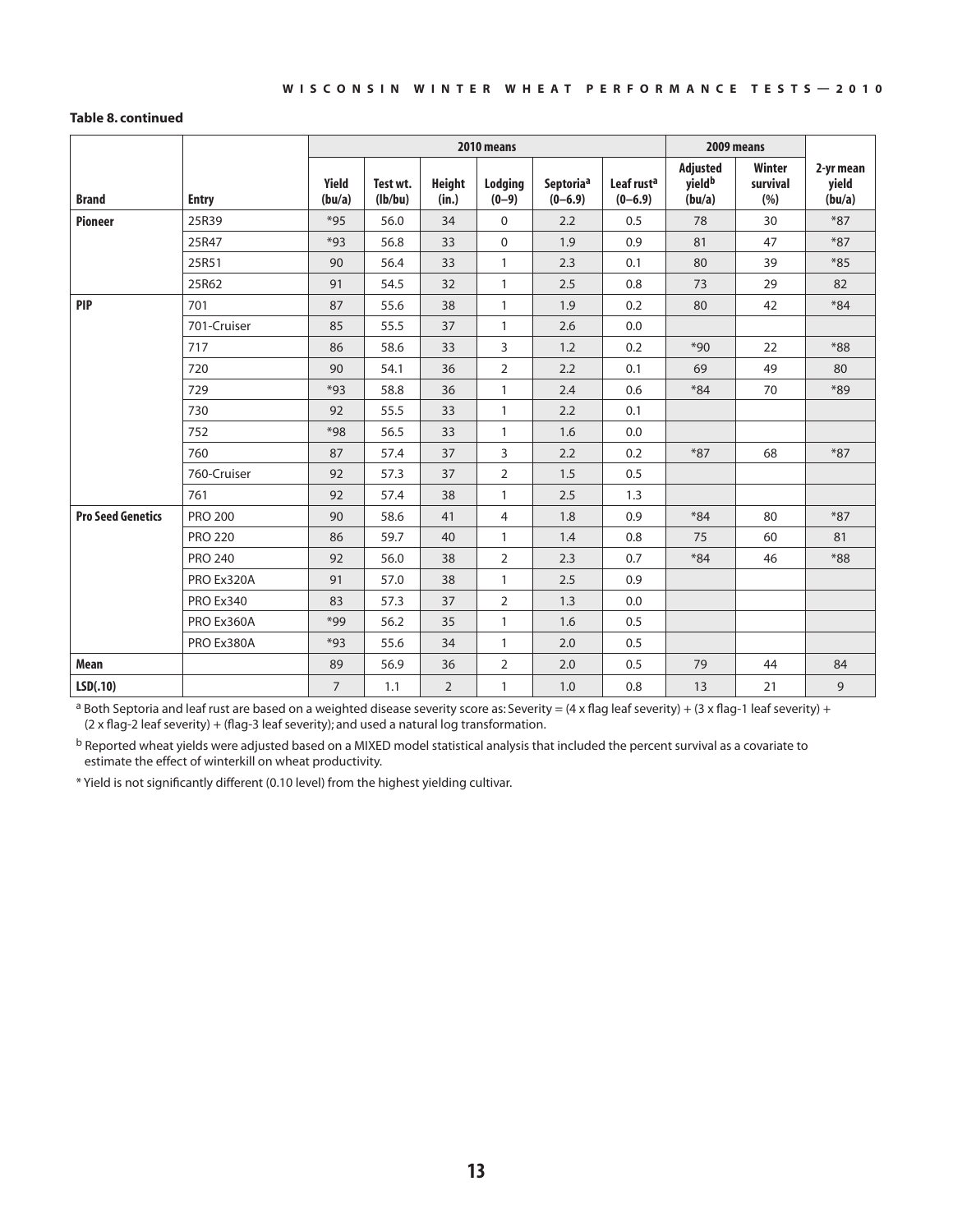#### **Table 8. continued**

|                          |                |                 |                     | 2010 means             | 2009 means         |                                      |                                     |                                          |                            |                              |
|--------------------------|----------------|-----------------|---------------------|------------------------|--------------------|--------------------------------------|-------------------------------------|------------------------------------------|----------------------------|------------------------------|
| <b>Brand</b>             | <b>Entry</b>   | Yield<br>(bu/a) | Test wt.<br>(lb/bu) | <b>Height</b><br>(in.) | Lodging<br>$(0-9)$ | Septoria <sup>a</sup><br>$(0 - 6.9)$ | Leaf rust <sup>a</sup><br>$(0-6.9)$ | Adjusted<br>yield <sup>b</sup><br>(bu/a) | Winter<br>survival<br>(% ) | 2-yr mean<br>yield<br>(bu/a) |
| <b>Pioneer</b>           | 25R39          | $*95$           | 56.0                | 34                     | $\mathbf 0$        | 2.2                                  | 0.5                                 | 78                                       | 30                         | $*87$                        |
|                          | 25R47          | $*93$           | 56.8                | 33                     | $\mathbf 0$        | 1.9                                  | 0.9                                 | 81                                       | 47                         | $*87$                        |
|                          | 25R51          | 90              | 56.4                | 33                     | $\mathbf{1}$       | 2.3                                  | 0.1                                 | 80                                       | 39                         | $*85$                        |
|                          | 25R62          | 91              | 54.5                | 32                     | $\mathbf{1}$       | 2.5                                  | 0.8                                 | 73                                       | 29                         | 82                           |
| <b>PIP</b>               | 701            | 87              | 55.6                | 38                     | $\mathbf{1}$       | 1.9                                  | 0.2                                 | 80                                       | 42                         | $*84$                        |
|                          | 701-Cruiser    | 85              | 55.5                | 37                     | $\mathbf{1}$       | 2.6                                  | 0.0                                 |                                          |                            |                              |
|                          | 717            | 86              | 58.6                | 33                     | 3                  | 1.2                                  | 0.2                                 | $*90$                                    | 22                         | $*88$                        |
|                          | 720            | 90              | 54.1                | 36                     | $\overline{2}$     | 2.2                                  | 0.1                                 | 69                                       | 49                         | 80                           |
|                          | 729            | $*93$           | 58.8                | 36                     | $\mathbf{1}$       | 2.4                                  | 0.6                                 | $*84$                                    | 70                         | $*89$                        |
|                          | 730            | 92              | 55.5                | 33                     | $\mathbf{1}$       | 2.2                                  | 0.1                                 |                                          |                            |                              |
|                          | 752            | $*98$           | 56.5                | 33                     | $\mathbf{1}$       | 1.6                                  | 0.0                                 |                                          |                            |                              |
|                          | 760            | 87              | 57.4                | 37                     | 3                  | 2.2                                  | 0.2                                 | $*87$                                    | 68                         | $*87$                        |
|                          | 760-Cruiser    | 92              | 57.3                | 37                     | $\overline{2}$     | 1.5                                  | 0.5                                 |                                          |                            |                              |
|                          | 761            | 92              | 57.4                | 38                     | $\mathbf{1}$       | 2.5                                  | 1.3                                 |                                          |                            |                              |
| <b>Pro Seed Genetics</b> | <b>PRO 200</b> | 90              | 58.6                | 41                     | 4                  | 1.8                                  | 0.9                                 | $*84$                                    | 80                         | $*87$                        |
|                          | <b>PRO 220</b> | 86              | 59.7                | 40                     | $\mathbf{1}$       | 1.4                                  | 0.8                                 | 75                                       | 60                         | 81                           |
|                          | <b>PRO 240</b> | 92              | 56.0                | 38                     | $\overline{2}$     | 2.3                                  | 0.7                                 | $*84$                                    | 46                         | $*88$                        |
|                          | PRO Ex320A     | 91              | 57.0                | 38                     | $\mathbf{1}$       | 2.5                                  | 0.9                                 |                                          |                            |                              |
|                          | PRO Ex340      | 83              | 57.3                | 37                     | $\overline{2}$     | 1.3                                  | 0.0                                 |                                          |                            |                              |
|                          | PRO Ex360A     | $*99$           | 56.2                | 35                     | $\mathbf{1}$       | 1.6                                  | 0.5                                 |                                          |                            |                              |
|                          | PRO Ex380A     | $*93$           | 55.6                | 34                     | $\mathbf{1}$       | 2.0                                  | 0.5                                 |                                          |                            |                              |
| Mean                     |                | 89              | 56.9                | 36                     | $\overline{2}$     | 2.0                                  | 0.5                                 | 79                                       | 44                         | 84                           |
| LSD(.10)                 |                | $\overline{7}$  | 1.1                 | $\overline{2}$         | $\mathbf{1}$       | 1.0                                  | 0.8                                 | 13                                       | 21                         | 9                            |

<sup>a</sup> Both Septoria and leaf rust are based on a weighted disease severity score as: Severity = (4 x flag leaf severity) + (3 x flag-1 leaf severity) + (2 x flag-2 leaf severity) + (flag-3 leaf severity); and used a natural log transformation.

b Reported wheat yields were adjusted based on a MIXED model statistical analysis that included the percent survival as a covariate to estimate the effect of winterkill on wheat productivity.